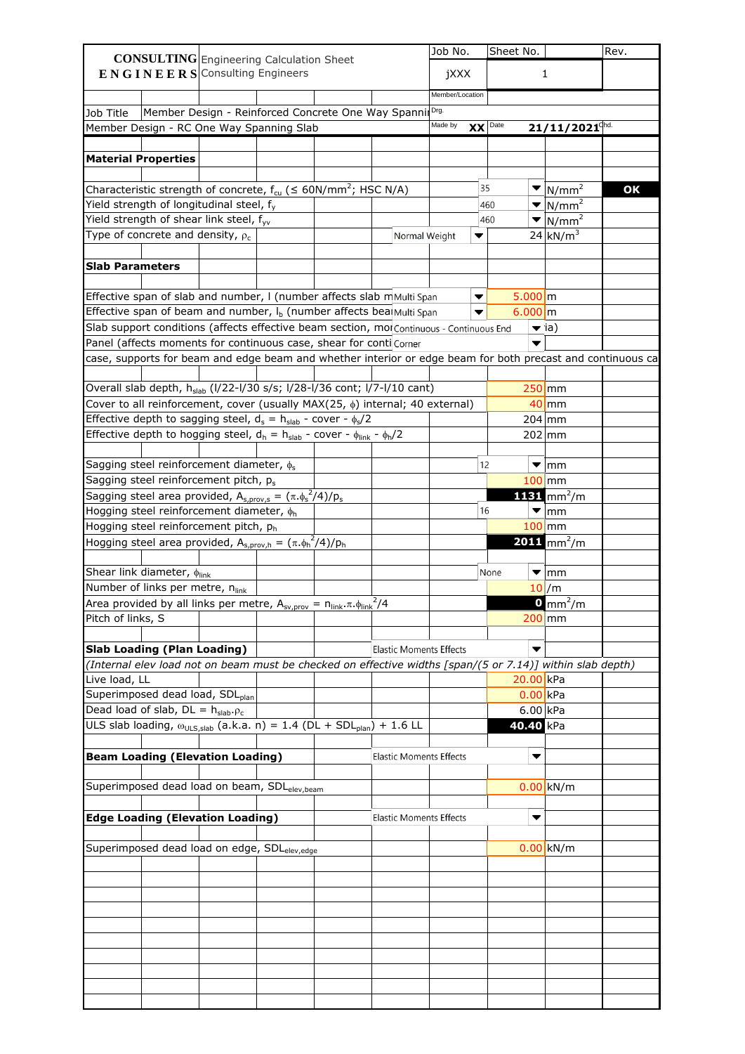|                                                                                                            |                                | Job No.         |                      | Sheet No. |                          |                                 | Rev. |
|------------------------------------------------------------------------------------------------------------|--------------------------------|-----------------|----------------------|-----------|--------------------------|---------------------------------|------|
| <b>CONSULTING</b> Engineering Calculation Sheet                                                            |                                |                 |                      |           |                          |                                 |      |
| $E N G I N E E R S$ Consulting Engineers                                                                   |                                | jXXX            |                      |           |                          | $\mathbf{1}$                    |      |
|                                                                                                            |                                | Member/Location |                      |           |                          |                                 |      |
| Member Design - Reinforced Concrete One Way Spannil Drg.<br>Job Title                                      |                                |                 |                      |           |                          |                                 |      |
| Member Design - RC One Way Spanning Slab                                                                   |                                | Made by         | $\mathbf{XX}$ Date   |           |                          | $21/11/2021$ <sup>chd.</sup>    |      |
|                                                                                                            |                                |                 |                      |           |                          |                                 |      |
|                                                                                                            |                                |                 |                      |           |                          |                                 |      |
| <b>Material Properties</b>                                                                                 |                                |                 |                      |           |                          |                                 |      |
|                                                                                                            |                                |                 |                      |           |                          |                                 |      |
| Characteristic strength of concrete, $f_{cu}$ ( $\leq 60N/mm^2$ ; HSC N/A)                                 |                                |                 | 35                   |           | ▼                        | $\sqrt{N/mm^2}$                 | OK   |
| Yield strength of longitudinal steel, f <sub>y</sub>                                                       |                                |                 |                      | 460       | $\blacktriangledown$     | $\sqrt{N/mm^2}$                 |      |
| Yield strength of shear link steel, f <sub>yv</sub>                                                        |                                |                 |                      | 460       | ▼                        | $\sqrt{N/mm^2}$                 |      |
| Type of concrete and density, $\rho_c$                                                                     | Normal Weight                  |                 | ▼                    |           |                          | $24 \text{ kN/m}^3$             |      |
|                                                                                                            |                                |                 |                      |           |                          |                                 |      |
| <b>Slab Parameters</b>                                                                                     |                                |                 |                      |           |                          |                                 |      |
|                                                                                                            |                                |                 |                      |           |                          |                                 |      |
| Effective span of slab and number, I (number affects slab mMulti Span                                      |                                |                 | $\blacktriangledown$ |           | $5.000 \, \text{m}$      |                                 |      |
| Effective span of beam and number, I <sub>b</sub> (number affects bea Multi Span                           |                                |                 |                      |           | $6.000 \, m$             |                                 |      |
| Slab support conditions (affects effective beam section, molContinuous - Continuous End                    |                                |                 |                      |           |                          | $\blacktriangledown$ ia)        |      |
| Panel (affects moments for continuous case, shear for conti Corner                                         |                                |                 |                      |           | $\blacktriangledown$     |                                 |      |
| case, supports for beam and edge beam and whether interior or edge beam for both precast and continuous ca |                                |                 |                      |           |                          |                                 |      |
|                                                                                                            |                                |                 |                      |           |                          |                                 |      |
|                                                                                                            |                                |                 |                      |           |                          |                                 |      |
| Overall slab depth, h <sub>slab</sub> (I/22-I/30 s/s; I/28-I/36 cont; I/7-I/10 cant)                       |                                |                 |                      |           |                          | $250$ mm                        |      |
| Cover to all reinforcement, cover (usually MAX(25, $\phi$ ) internal; 40 external)                         |                                |                 |                      |           |                          | $40$ mm                         |      |
| Effective depth to sagging steel, $d_s = h_{slab}$ - cover - $\phi_s/2$                                    |                                |                 |                      |           |                          | $204$ mm                        |      |
| Effective depth to hogging steel, $d_h = h_{slab}$ - cover - $\phi_{link}$ - $\phi_h/2$                    |                                |                 |                      |           |                          | $202 \mid mm$                   |      |
|                                                                                                            |                                |                 |                      |           |                          |                                 |      |
| Sagging steel reinforcement diameter, $\phi_s$                                                             |                                |                 | 12                   |           |                          | $\blacktriangledown$  mm        |      |
| Sagging steel reinforcement pitch, p <sub>s</sub>                                                          |                                |                 |                      |           |                          | $100$ mm                        |      |
| Sagging steel area provided, $A_{s,prov,s} = (\pi \cdot \phi_s^2/4)/p_s$                                   |                                |                 |                      |           |                          | $1131$ mm <sup>2</sup> /m       |      |
| Hogging steel reinforcement diameter, $\phi_h$                                                             |                                |                 | 16                   |           | ▼                        | $\mathsf{lmm}$                  |      |
| Hogging steel reinforcement pitch, ph                                                                      |                                |                 |                      |           |                          | $100$ mm                        |      |
|                                                                                                            |                                |                 |                      |           |                          |                                 |      |
| Hogging steel area provided, $A_{s,prov,h} = (\pi \cdot \phi_h^2/4)/p_h$                                   |                                |                 |                      |           |                          | <b>2011</b> mm <sup>2</sup> /m  |      |
|                                                                                                            |                                |                 |                      |           |                          |                                 |      |
| Shear link diameter, $\phi_{\text{link}}$                                                                  |                                |                 |                      | None      | $\blacktriangledown$     | $\mathsf{m}\mathsf{m}$          |      |
| Number of links per metre, nlink                                                                           |                                |                 |                      |           |                          | $10$ /m                         |      |
| Area provided by all links per metre, $A_{sv,prov} = n_{link} \cdot \pi \cdot \phi_{link}^2/4$             |                                |                 |                      |           |                          | $\mathbf{0}$ mm <sup>2</sup> /m |      |
| Pitch of links, S                                                                                          |                                |                 |                      |           |                          | $200$ mm                        |      |
|                                                                                                            |                                |                 |                      |           |                          |                                 |      |
| <b>Slab Loading (Plan Loading)</b>                                                                         | <b>Elastic Moments Effects</b> |                 |                      |           | $\overline{\phantom{a}}$ |                                 |      |
| (Internal elev load not on beam must be checked on effective widths [span/(5 or 7.14)] within slab depth)  |                                |                 |                      |           |                          |                                 |      |
|                                                                                                            |                                |                 |                      |           |                          |                                 |      |
| Live load, LL                                                                                              |                                |                 |                      |           | $20.00$ kPa              |                                 |      |
| Superimposed dead load, SDL <sub>plan</sub>                                                                |                                |                 |                      |           | $0.00$ <sub>kPa</sub>    |                                 |      |
| Dead load of slab, $DL = h_{slab}.\rho_c$                                                                  |                                |                 |                      |           | $6.00$ kPa               |                                 |      |
| ULS slab loading, $\omega_{ULS,slab}$ (a.k.a. n) = 1.4 (DL + SDL <sub>plan</sub> ) + 1.6 LL                |                                |                 |                      |           | 40.40 kPa                |                                 |      |
|                                                                                                            |                                |                 |                      |           |                          |                                 |      |
| <b>Beam Loading (Elevation Loading)</b>                                                                    | <b>Elastic Moments Effects</b> |                 |                      |           | $\overline{\phantom{a}}$ |                                 |      |
|                                                                                                            |                                |                 |                      |           |                          |                                 |      |
| Superimposed dead load on beam, SDL <sub>elev,beam</sub>                                                   |                                |                 |                      |           |                          | $0.00$ kN/m                     |      |
|                                                                                                            |                                |                 |                      |           |                          |                                 |      |
|                                                                                                            |                                |                 |                      |           |                          |                                 |      |
| <b>Edge Loading (Elevation Loading)</b>                                                                    | <b>Elastic Moments Effects</b> |                 |                      |           | $\blacktriangledown$     |                                 |      |
|                                                                                                            |                                |                 |                      |           |                          |                                 |      |
| Superimposed dead load on edge, SDL <sub>elev,edge</sub>                                                   |                                |                 |                      |           |                          | $0.00$ kN/m                     |      |
|                                                                                                            |                                |                 |                      |           |                          |                                 |      |
|                                                                                                            |                                |                 |                      |           |                          |                                 |      |
|                                                                                                            |                                |                 |                      |           |                          |                                 |      |
|                                                                                                            |                                |                 |                      |           |                          |                                 |      |
|                                                                                                            |                                |                 |                      |           |                          |                                 |      |
|                                                                                                            |                                |                 |                      |           |                          |                                 |      |
|                                                                                                            |                                |                 |                      |           |                          |                                 |      |
|                                                                                                            |                                |                 |                      |           |                          |                                 |      |
|                                                                                                            |                                |                 |                      |           |                          |                                 |      |
|                                                                                                            |                                |                 |                      |           |                          |                                 |      |
|                                                                                                            |                                |                 |                      |           |                          |                                 |      |
|                                                                                                            |                                |                 |                      |           |                          |                                 |      |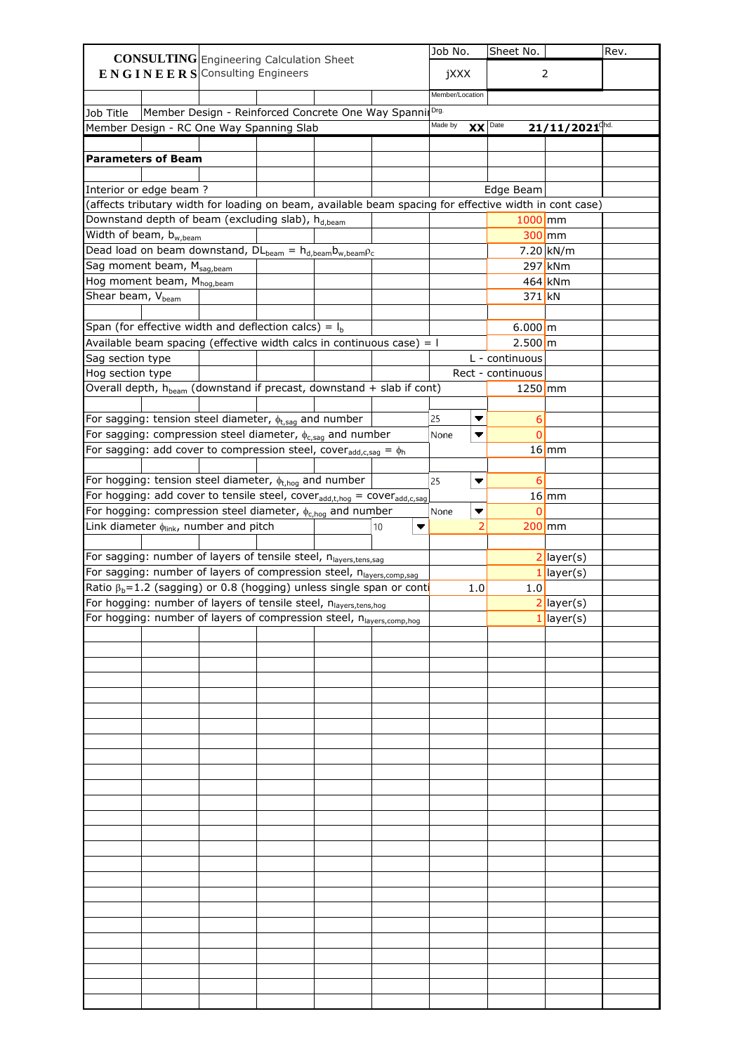|                                                                                                        |                                                    |  |         | Job No.         |                | Sheet No.           |                              | Rev. |
|--------------------------------------------------------------------------------------------------------|----------------------------------------------------|--|---------|-----------------|----------------|---------------------|------------------------------|------|
| <b>CONSULTING</b> Engineering Calculation Sheet<br>$E N G I N E E R S$ Consulting Engineers            |                                                    |  |         |                 |                |                     | $\overline{2}$               |      |
|                                                                                                        |                                                    |  |         | jXXX            |                |                     |                              |      |
|                                                                                                        |                                                    |  |         | Member/Location |                |                     |                              |      |
| Job Title                                                                                              | Member Design - Reinforced Concrete One Way Spanni |  |         | Drg.            |                |                     |                              |      |
| Member Design - RC One Way Spanning Slab                                                               |                                                    |  |         | Made by         | <b>XX</b>      | Date                | $21/11/2021$ <sup>chd.</sup> |      |
|                                                                                                        |                                                    |  |         |                 |                |                     |                              |      |
| <b>Parameters of Beam</b>                                                                              |                                                    |  |         |                 |                |                     |                              |      |
|                                                                                                        |                                                    |  |         |                 |                |                     |                              |      |
| Interior or edge beam?                                                                                 |                                                    |  |         |                 |                | Edge Beam           |                              |      |
| (affects tributary width for loading on beam, available beam spacing for effective width in cont case) |                                                    |  |         |                 |                |                     |                              |      |
| Downstand depth of beam (excluding slab), h <sub>d,beam</sub>                                          |                                                    |  |         |                 |                | $1000$ mm           |                              |      |
| Width of beam, b <sub>w,beam</sub>                                                                     |                                                    |  |         |                 |                |                     | $300$ mm                     |      |
| Dead load on beam downstand, $DL_{beam} = h_{d,beam}b_{w,beam}\rho_c$                                  |                                                    |  |         |                 |                |                     | $7.20$ kN/m                  |      |
| Sag moment beam, Msag, beam                                                                            |                                                    |  |         |                 |                |                     | $297$ kNm                    |      |
| Hog moment beam, Mhog, beam                                                                            |                                                    |  |         |                 |                |                     | $464$ kNm                    |      |
| Shear beam, V <sub>heam</sub>                                                                          |                                                    |  |         |                 |                | 371 kN              |                              |      |
|                                                                                                        |                                                    |  |         |                 |                |                     |                              |      |
| Span (for effective width and deflection calcs) = $I_b$                                                |                                                    |  |         |                 |                | $6.000 \, m$        |                              |      |
| Available beam spacing (effective width calcs in continuous case) = $\mathsf I$                        |                                                    |  |         |                 |                | $2.500 \, \text{m}$ |                              |      |
| Sag section type                                                                                       |                                                    |  |         |                 |                | L - continuous      |                              |      |
| Hog section type                                                                                       |                                                    |  |         |                 |                | Rect - continuous   |                              |      |
| Overall depth, $h_{beam}$ (downstand if precast, downstand + slab if cont)                             |                                                    |  |         |                 |                | $1250$ mm           |                              |      |
|                                                                                                        |                                                    |  |         |                 |                |                     |                              |      |
| For sagging: tension steel diameter, $\phi_{t, sag}$ and number                                        |                                                    |  |         | 25              |                | 6                   |                              |      |
| For sagging: compression steel diameter, $\phi_{c,sag}$ and number                                     |                                                    |  |         | None            |                | 0                   |                              |      |
| For sagging: add cover to compression steel, cover <sub>add,c,sag</sub> = $\phi_h$                     |                                                    |  |         |                 |                |                     | $16$ mm                      |      |
|                                                                                                        |                                                    |  |         |                 |                |                     |                              |      |
| For hogging: tension steel diameter, $\phi_{t,hog}$ and number                                         |                                                    |  |         | 25              | ▼              | 6                   |                              |      |
| For hogging: add cover to tensile steel, cover <sub>add,t,hog</sub> = cover <sub>add,c,sag</sub>       |                                                    |  |         |                 |                |                     | $16$ mm                      |      |
| For hogging: compression steel diameter, $\phi_{c, \text{hog}}$ and number                             |                                                    |  |         | None            | ▼              | O                   |                              |      |
| Link diameter $\phi_{\text{link}}$ , number and pitch                                                  |                                                    |  | 10<br>▼ |                 | $\overline{2}$ |                     | $200$ mm                     |      |
|                                                                                                        |                                                    |  |         |                 |                |                     |                              |      |
| For sagging: number of layers of tensile steel, nlayers,tens,sag                                       |                                                    |  |         |                 |                |                     | $2$ layer(s)                 |      |
| For sagging: number of layers of compression steel, nlayers, comp, sag                                 |                                                    |  |         |                 |                |                     | $\vert$ layer(s)             |      |
| Ratio $\beta_b = 1.2$ (sagging) or 0.8 (hogging) unless single span or conti                           |                                                    |  |         |                 | 1.0            | 1.0                 |                              |      |
| For hogging: number of layers of tensile steel, nlayers,tens,hog                                       |                                                    |  |         |                 |                |                     | $2$ layer(s)                 |      |
| For hogging: number of layers of compression steel, n <sub>layers,comp,hog</sub>                       |                                                    |  |         |                 |                |                     | $1$ layer(s)                 |      |
|                                                                                                        |                                                    |  |         |                 |                |                     |                              |      |
|                                                                                                        |                                                    |  |         |                 |                |                     |                              |      |
|                                                                                                        |                                                    |  |         |                 |                |                     |                              |      |
|                                                                                                        |                                                    |  |         |                 |                |                     |                              |      |
|                                                                                                        |                                                    |  |         |                 |                |                     |                              |      |
|                                                                                                        |                                                    |  |         |                 |                |                     |                              |      |
|                                                                                                        |                                                    |  |         |                 |                |                     |                              |      |
|                                                                                                        |                                                    |  |         |                 |                |                     |                              |      |
|                                                                                                        |                                                    |  |         |                 |                |                     |                              |      |
|                                                                                                        |                                                    |  |         |                 |                |                     |                              |      |
|                                                                                                        |                                                    |  |         |                 |                |                     |                              |      |
|                                                                                                        |                                                    |  |         |                 |                |                     |                              |      |
|                                                                                                        |                                                    |  |         |                 |                |                     |                              |      |
|                                                                                                        |                                                    |  |         |                 |                |                     |                              |      |
|                                                                                                        |                                                    |  |         |                 |                |                     |                              |      |
|                                                                                                        |                                                    |  |         |                 |                |                     |                              |      |
|                                                                                                        |                                                    |  |         |                 |                |                     |                              |      |
|                                                                                                        |                                                    |  |         |                 |                |                     |                              |      |
|                                                                                                        |                                                    |  |         |                 |                |                     |                              |      |
|                                                                                                        |                                                    |  |         |                 |                |                     |                              |      |
|                                                                                                        |                                                    |  |         |                 |                |                     |                              |      |
|                                                                                                        |                                                    |  |         |                 |                |                     |                              |      |
|                                                                                                        |                                                    |  |         |                 |                |                     |                              |      |
|                                                                                                        |                                                    |  |         |                 |                |                     |                              |      |
|                                                                                                        |                                                    |  |         |                 |                |                     |                              |      |
|                                                                                                        |                                                    |  |         |                 |                |                     |                              |      |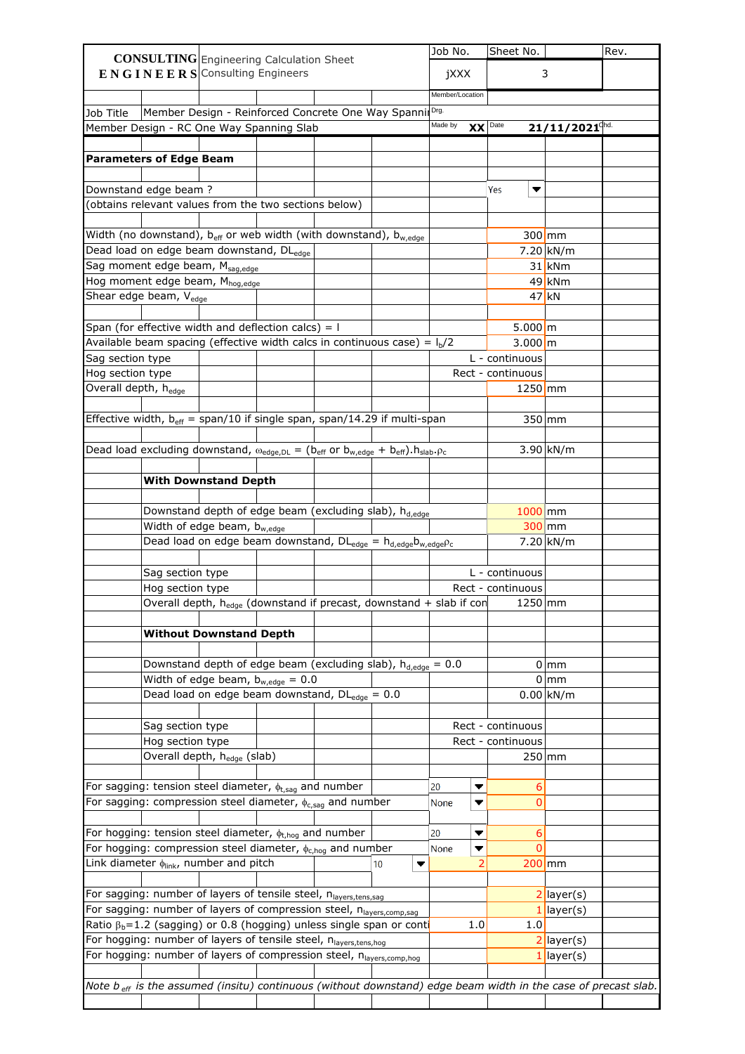|                                      |                                    | <b>CONSULTING</b> Engineering Calculation Sheet                                                                           |  |         | Job No.         |     | Sheet No.                           |                              | Rev. |
|--------------------------------------|------------------------------------|---------------------------------------------------------------------------------------------------------------------------|--|---------|-----------------|-----|-------------------------------------|------------------------------|------|
|                                      |                                    | $E N G I N E E R S$ Consulting Engineers                                                                                  |  |         | jXXX            |     |                                     | 3                            |      |
|                                      |                                    |                                                                                                                           |  |         |                 |     |                                     |                              |      |
|                                      |                                    |                                                                                                                           |  |         | Member/Location |     |                                     |                              |      |
| Job Title                            |                                    | Member Design - Reinforced Concrete One Way SpannilDrg.                                                                   |  |         |                 |     |                                     |                              |      |
|                                      |                                    | Member Design - RC One Way Spanning Slab                                                                                  |  |         | Made by         |     | $XX$ Date                           | $21/11/2021$ <sup>chd.</sup> |      |
|                                      |                                    |                                                                                                                           |  |         |                 |     |                                     |                              |      |
|                                      | <b>Parameters of Edge Beam</b>     |                                                                                                                           |  |         |                 |     |                                     |                              |      |
|                                      |                                    |                                                                                                                           |  |         |                 |     |                                     |                              |      |
|                                      | Downstand edge beam?               |                                                                                                                           |  |         |                 |     | Yes<br>▼                            |                              |      |
|                                      |                                    | (obtains relevant values from the two sections below)                                                                     |  |         |                 |     |                                     |                              |      |
|                                      |                                    |                                                                                                                           |  |         |                 |     |                                     |                              |      |
|                                      |                                    | Width (no downstand), $b_{eff}$ or web width (with downstand), $b_{w,edge}$                                               |  |         |                 |     |                                     | $300$ mm                     |      |
|                                      |                                    | Dead load on edge beam downstand, DL <sub>edge</sub>                                                                      |  |         |                 |     |                                     | $7.20 \, \text{kN/m}$        |      |
|                                      |                                    | Sag moment edge beam, M <sub>sag,edge</sub>                                                                               |  |         |                 |     |                                     | $31$ kNm                     |      |
|                                      |                                    | Hog moment edge beam, M <sub>hog,edge</sub>                                                                               |  |         |                 |     |                                     | $49$ kNm                     |      |
|                                      | Shear edge beam, V <sub>edge</sub> |                                                                                                                           |  |         |                 |     |                                     | $47$ kN                      |      |
|                                      |                                    |                                                                                                                           |  |         |                 |     |                                     |                              |      |
|                                      |                                    | Span (for effective width and deflection calcs) = $\mathsf I$                                                             |  |         |                 |     | $5.000 \, \text{m}$                 |                              |      |
|                                      |                                    | Available beam spacing (effective width calcs in continuous case) = $Ib/2$                                                |  |         |                 |     | $3.000 \, \text{m}$                 |                              |      |
| Sag section type<br>Hog section type |                                    |                                                                                                                           |  |         |                 |     | L - continuous<br>Rect - continuous |                              |      |
| Overall depth, h <sub>edge</sub>     |                                    |                                                                                                                           |  |         |                 |     | $1250$ mm                           |                              |      |
|                                      |                                    |                                                                                                                           |  |         |                 |     |                                     |                              |      |
|                                      |                                    | Effective width, $b_{\text{eff}}$ = span/10 if single span, span/14.29 if multi-span                                      |  |         |                 |     |                                     | $350$ mm                     |      |
|                                      |                                    |                                                                                                                           |  |         |                 |     |                                     |                              |      |
|                                      |                                    | Dead load excluding downstand, $\omega_{edge,DL} = (b_{eff} \text{ or } b_{w,edge} + b_{eff}).h_{slab}. \rho_c$           |  |         |                 |     |                                     | $3.90$ kN/m                  |      |
|                                      |                                    |                                                                                                                           |  |         |                 |     |                                     |                              |      |
|                                      |                                    | <b>With Downstand Depth</b>                                                                                               |  |         |                 |     |                                     |                              |      |
|                                      |                                    |                                                                                                                           |  |         |                 |     |                                     |                              |      |
|                                      |                                    | Downstand depth of edge beam (excluding slab), h <sub>d,edge</sub>                                                        |  |         |                 |     | $1000$ mm                           |                              |      |
|                                      |                                    | Width of edge beam, bw,edge                                                                                               |  |         |                 |     |                                     | $300$ mm                     |      |
|                                      |                                    | Dead load on edge beam downstand, $DL_{\text{edge}} = h_{d,\text{edge}}b_{w,\text{edge}}\rho_c$                           |  |         |                 |     |                                     | $7.20$ kN/m                  |      |
|                                      |                                    |                                                                                                                           |  |         |                 |     |                                     |                              |      |
|                                      | Sag section type                   |                                                                                                                           |  |         |                 |     | L - continuous                      |                              |      |
|                                      | Hog section type                   |                                                                                                                           |  |         |                 |     | Rect - continuous                   |                              |      |
|                                      |                                    | Overall depth, $h_{edge}$ (downstand if precast, downstand + slab if con                                                  |  |         |                 |     | $1250$ mm                           |                              |      |
|                                      |                                    |                                                                                                                           |  |         |                 |     |                                     |                              |      |
|                                      |                                    | <b>Without Downstand Depth</b>                                                                                            |  |         |                 |     |                                     |                              |      |
|                                      |                                    |                                                                                                                           |  |         |                 |     |                                     |                              |      |
|                                      |                                    | Downstand depth of edge beam (excluding slab), $h_{d,edge} = 0.0$                                                         |  |         |                 |     |                                     | $0 \mid mm$                  |      |
|                                      |                                    | Width of edge beam, $b_{w,\text{edge}} = 0.0$                                                                             |  |         |                 |     |                                     | $0 \, \mathrm{mm}$           |      |
|                                      |                                    | Dead load on edge beam downstand, $DL_{\text{edge}} = 0.0$                                                                |  |         |                 |     |                                     | $0.00$ kN/m                  |      |
|                                      |                                    |                                                                                                                           |  |         |                 |     |                                     |                              |      |
|                                      | Sag section type                   |                                                                                                                           |  |         |                 |     | Rect - continuous                   |                              |      |
|                                      | Hog section type                   |                                                                                                                           |  |         |                 |     | Rect - continuous                   |                              |      |
|                                      |                                    | Overall depth, h <sub>edge</sub> (slab)                                                                                   |  |         |                 |     |                                     | $250$ mm                     |      |
|                                      |                                    |                                                                                                                           |  |         |                 |     |                                     |                              |      |
|                                      |                                    | For sagging: tension steel diameter, $\phi_{t,sag}$ and number                                                            |  |         | 20              | ▼   | 6                                   |                              |      |
|                                      |                                    | For sagging: compression steel diameter, $\phi_{c,saq}$ and number                                                        |  |         | None            |     | 0                                   |                              |      |
|                                      |                                    |                                                                                                                           |  |         |                 |     |                                     |                              |      |
|                                      |                                    | For hogging: tension steel diameter, $\phi_{t,hog}$ and number                                                            |  |         | 20              | ▼   | 6                                   |                              |      |
|                                      |                                    | For hogging: compression steel diameter, $\phi_{c,hog}$ and number                                                        |  |         | None            |     | 0                                   |                              |      |
|                                      |                                    | Link diameter $\phi_{\text{link}}$ , number and pitch                                                                     |  | 10<br>▼ |                 | 2   |                                     | $200$ mm                     |      |
|                                      |                                    |                                                                                                                           |  |         |                 |     |                                     |                              |      |
|                                      |                                    | For sagging: number of layers of tensile steel, nlayers, tens, sag                                                        |  |         |                 |     |                                     | $2$ layer(s)                 |      |
|                                      |                                    | For sagging: number of layers of compression steel, n <sub>layers,comp,sag</sub>                                          |  |         |                 |     |                                     | 1 layer(s)                   |      |
|                                      |                                    | Ratio β <sub>b</sub> =1.2 (sagging) or 0.8 (hogging) unless single span or conti                                          |  |         |                 | 1.0 | 1.0                                 |                              |      |
|                                      |                                    | For hogging: number of layers of tensile steel, nlayers,tens,hog                                                          |  |         |                 |     |                                     | $2$ layer(s)                 |      |
|                                      |                                    | For hogging: number of layers of compression steel, n <sub>layers,comp,hog</sub>                                          |  |         |                 |     |                                     | $1$   layer(s)               |      |
|                                      |                                    | Note $b_{\text{eff}}$ is the assumed (insitu) continuous (without downstand) edge beam width in the case of precast slab. |  |         |                 |     |                                     |                              |      |
|                                      |                                    |                                                                                                                           |  |         |                 |     |                                     |                              |      |
|                                      |                                    |                                                                                                                           |  |         |                 |     |                                     |                              |      |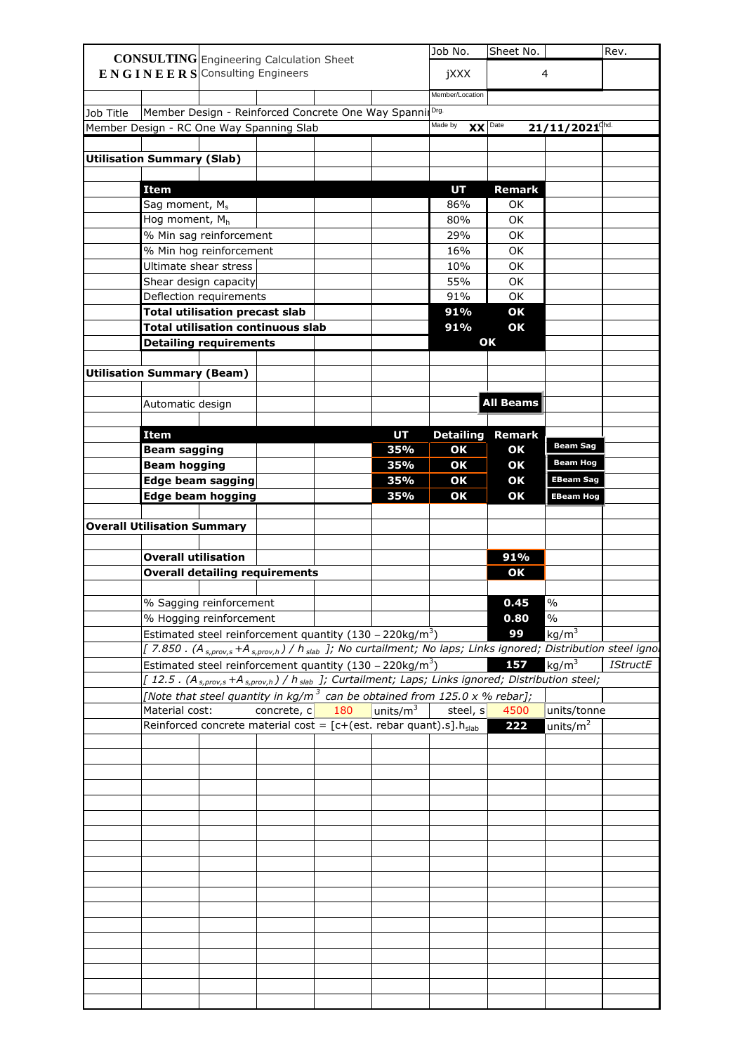|           |                                    | <b>CONSULTING</b> Engineering Calculation Sheet                                  |             |     |                           | Job No.                                                                                                                             | Sheet No.        |                                                                                                                                                 | Rev.            |
|-----------|------------------------------------|----------------------------------------------------------------------------------|-------------|-----|---------------------------|-------------------------------------------------------------------------------------------------------------------------------------|------------------|-------------------------------------------------------------------------------------------------------------------------------------------------|-----------------|
|           |                                    | ENGINEERS Consulting Engineers                                                   |             |     |                           | jXXX                                                                                                                                |                  | 4                                                                                                                                               |                 |
|           |                                    |                                                                                  |             |     |                           |                                                                                                                                     |                  |                                                                                                                                                 |                 |
|           |                                    |                                                                                  |             |     |                           | Member/Location                                                                                                                     |                  |                                                                                                                                                 |                 |
| Job Title |                                    | Member Design - Reinforced Concrete One Way Spanni                               |             |     |                           | Drg.                                                                                                                                |                  |                                                                                                                                                 |                 |
|           |                                    | Member Design - RC One Way Spanning Slab                                         |             |     |                           | Made by<br>$XX$ Date                                                                                                                |                  | $21/11/2021$ <sup>chd.</sup>                                                                                                                    |                 |
|           |                                    |                                                                                  |             |     |                           |                                                                                                                                     |                  |                                                                                                                                                 |                 |
|           | <b>Utilisation Summary (Slab)</b>  |                                                                                  |             |     |                           |                                                                                                                                     |                  |                                                                                                                                                 |                 |
|           |                                    |                                                                                  |             |     |                           |                                                                                                                                     |                  |                                                                                                                                                 |                 |
|           | <b>Item</b>                        |                                                                                  |             |     |                           | <b>UT</b>                                                                                                                           | <b>Remark</b>    |                                                                                                                                                 |                 |
|           | Sag moment, M <sub>s</sub>         |                                                                                  |             |     |                           | 86%                                                                                                                                 | OK.              |                                                                                                                                                 |                 |
|           | Hog moment, Mh                     |                                                                                  |             |     |                           | 80%                                                                                                                                 | OK               |                                                                                                                                                 |                 |
|           |                                    | % Min sag reinforcement                                                          |             |     |                           | 29%                                                                                                                                 | OK               |                                                                                                                                                 |                 |
|           |                                    | % Min hog reinforcement                                                          |             |     |                           | 16%                                                                                                                                 | OK               |                                                                                                                                                 |                 |
|           |                                    | Ultimate shear stress                                                            |             |     |                           | 10%                                                                                                                                 | OK               |                                                                                                                                                 |                 |
|           |                                    | Shear design capacity                                                            |             |     |                           | 55%                                                                                                                                 | OK               |                                                                                                                                                 |                 |
|           |                                    | Deflection requirements                                                          |             |     |                           | 91%                                                                                                                                 | OK               |                                                                                                                                                 |                 |
|           |                                    |                                                                                  |             |     |                           | 91%                                                                                                                                 |                  |                                                                                                                                                 |                 |
|           |                                    | <b>Total utilisation precast slab</b>                                            |             |     |                           |                                                                                                                                     | OK               |                                                                                                                                                 |                 |
|           |                                    | <b>Total utilisation continuous slab</b>                                         |             |     |                           | 91%                                                                                                                                 | OK               |                                                                                                                                                 |                 |
|           |                                    | <b>Detailing requirements</b>                                                    |             |     |                           |                                                                                                                                     | OK               |                                                                                                                                                 |                 |
|           |                                    |                                                                                  |             |     |                           |                                                                                                                                     |                  |                                                                                                                                                 |                 |
|           | <b>Utilisation Summary (Beam)</b>  |                                                                                  |             |     |                           |                                                                                                                                     |                  |                                                                                                                                                 |                 |
|           |                                    |                                                                                  |             |     |                           |                                                                                                                                     |                  |                                                                                                                                                 |                 |
|           | Automatic design                   |                                                                                  |             |     |                           |                                                                                                                                     | <b>All Beams</b> |                                                                                                                                                 |                 |
|           |                                    |                                                                                  |             |     |                           |                                                                                                                                     |                  |                                                                                                                                                 |                 |
|           | <b>Item</b>                        |                                                                                  |             |     | <b>UT</b>                 | <b>Detailing</b>                                                                                                                    | <b>Remark</b>    |                                                                                                                                                 |                 |
|           | <b>Beam sagging</b>                |                                                                                  |             |     | 35%                       | OK                                                                                                                                  | OK               | <b>Beam Sag</b>                                                                                                                                 |                 |
|           | <b>Beam hogging</b>                |                                                                                  |             |     | 35%                       | OK                                                                                                                                  | OK               | <b>Beam Hog</b>                                                                                                                                 |                 |
|           |                                    | <b>Edge beam sagging</b>                                                         |             |     | 35%                       | OK                                                                                                                                  | OK               | <b>EBeam Sag</b>                                                                                                                                |                 |
|           |                                    | <b>Edge beam hogging</b>                                                         |             |     | 35%                       | OK                                                                                                                                  | OK               | <b>EBeam Hog</b>                                                                                                                                |                 |
|           |                                    |                                                                                  |             |     |                           |                                                                                                                                     |                  |                                                                                                                                                 |                 |
|           | <b>Overall Utilisation Summary</b> |                                                                                  |             |     |                           |                                                                                                                                     |                  |                                                                                                                                                 |                 |
|           |                                    |                                                                                  |             |     |                           |                                                                                                                                     |                  |                                                                                                                                                 |                 |
|           |                                    |                                                                                  |             |     |                           |                                                                                                                                     | 91%              |                                                                                                                                                 |                 |
|           |                                    |                                                                                  |             |     |                           |                                                                                                                                     |                  |                                                                                                                                                 |                 |
|           | <b>Overall utilisation</b>         |                                                                                  |             |     |                           |                                                                                                                                     |                  |                                                                                                                                                 |                 |
|           |                                    | <b>Overall detailing requirements</b>                                            |             |     |                           |                                                                                                                                     | OK               |                                                                                                                                                 |                 |
|           |                                    |                                                                                  |             |     |                           |                                                                                                                                     |                  |                                                                                                                                                 |                 |
|           |                                    | % Sagging reinforcement                                                          |             |     |                           |                                                                                                                                     | 0.45             | $\frac{0}{0}$                                                                                                                                   |                 |
|           |                                    | % Hogging reinforcement                                                          |             |     |                           |                                                                                                                                     | 0.80             | $\frac{1}{2}$                                                                                                                                   |                 |
|           |                                    | Estimated steel reinforcement quantity (130 - 220kg/m <sup>3</sup> )             |             |     |                           |                                                                                                                                     | 99               | kg/m <sup>3</sup>                                                                                                                               |                 |
|           |                                    |                                                                                  |             |     |                           |                                                                                                                                     |                  | [7.850 . (A <sub>s,prov,s</sub> +A <sub>s,prov,h</sub> ) / h <sub>slab</sub> ]; No curtailment; No laps; Links ignored; Distribution steel igno |                 |
|           |                                    | Estimated steel reinforcement quantity $(130 - 220 \text{kg/m}^3)$               |             |     |                           |                                                                                                                                     | 157              | kg/m <sup>3</sup>                                                                                                                               | <b>IStructE</b> |
|           |                                    |                                                                                  |             |     |                           | [12.5. (A <sub>s,prov,s</sub> +A <sub>s,prov,h</sub> ) / h <sub>slab</sub> ]; Curtailment; Laps; Links ignored; Distribution steel; |                  |                                                                                                                                                 |                 |
|           |                                    |                                                                                  |             |     |                           | [Note that steel quantity in $kg/m^3$ can be obtained from 125.0 x % rebar];                                                        |                  |                                                                                                                                                 |                 |
|           | Material cost:                     |                                                                                  | concrete, c | 180 | $\mu$ nits/m <sup>3</sup> | steel, s                                                                                                                            | 4500             | units/tonne                                                                                                                                     |                 |
|           |                                    | Reinforced concrete material cost = $[c+(est.$ rebar quant).s].h <sub>slab</sub> |             |     |                           |                                                                                                                                     | 222              | units/ $m^2$                                                                                                                                    |                 |
|           |                                    |                                                                                  |             |     |                           |                                                                                                                                     |                  |                                                                                                                                                 |                 |
|           |                                    |                                                                                  |             |     |                           |                                                                                                                                     |                  |                                                                                                                                                 |                 |
|           |                                    |                                                                                  |             |     |                           |                                                                                                                                     |                  |                                                                                                                                                 |                 |
|           |                                    |                                                                                  |             |     |                           |                                                                                                                                     |                  |                                                                                                                                                 |                 |
|           |                                    |                                                                                  |             |     |                           |                                                                                                                                     |                  |                                                                                                                                                 |                 |
|           |                                    |                                                                                  |             |     |                           |                                                                                                                                     |                  |                                                                                                                                                 |                 |
|           |                                    |                                                                                  |             |     |                           |                                                                                                                                     |                  |                                                                                                                                                 |                 |
|           |                                    |                                                                                  |             |     |                           |                                                                                                                                     |                  |                                                                                                                                                 |                 |
|           |                                    |                                                                                  |             |     |                           |                                                                                                                                     |                  |                                                                                                                                                 |                 |
|           |                                    |                                                                                  |             |     |                           |                                                                                                                                     |                  |                                                                                                                                                 |                 |
|           |                                    |                                                                                  |             |     |                           |                                                                                                                                     |                  |                                                                                                                                                 |                 |
|           |                                    |                                                                                  |             |     |                           |                                                                                                                                     |                  |                                                                                                                                                 |                 |
|           |                                    |                                                                                  |             |     |                           |                                                                                                                                     |                  |                                                                                                                                                 |                 |
|           |                                    |                                                                                  |             |     |                           |                                                                                                                                     |                  |                                                                                                                                                 |                 |
|           |                                    |                                                                                  |             |     |                           |                                                                                                                                     |                  |                                                                                                                                                 |                 |
|           |                                    |                                                                                  |             |     |                           |                                                                                                                                     |                  |                                                                                                                                                 |                 |
|           |                                    |                                                                                  |             |     |                           |                                                                                                                                     |                  |                                                                                                                                                 |                 |
|           |                                    |                                                                                  |             |     |                           |                                                                                                                                     |                  |                                                                                                                                                 |                 |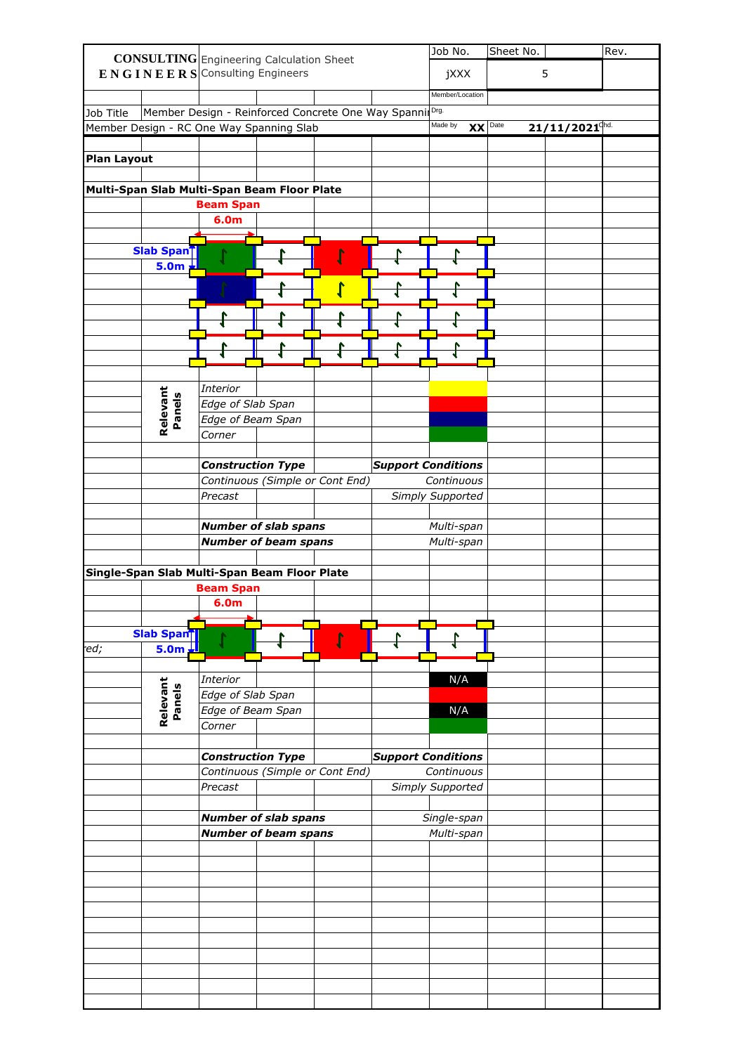|                                              |                    |                                                                                                                           |  | Job No.                   | Sheet No. |                              | Rev. |
|----------------------------------------------|--------------------|---------------------------------------------------------------------------------------------------------------------------|--|---------------------------|-----------|------------------------------|------|
|                                              |                    | <b>CONSULTING</b> Engineering Calculation Sheet                                                                           |  |                           |           |                              |      |
|                                              |                    | $\mathbf{E} \mathbf{N} \mathbf{G} \mathbf{I} \mathbf{N} \mathbf{E} \mathbf{E} \mathbf{R} \mathbf{S}$ Consulting Engineers |  | jXXX                      |           | 5                            |      |
|                                              |                    |                                                                                                                           |  | Member/Location           |           |                              |      |
| Job Title                                    |                    | Member Design - Reinforced Concrete One Way SpannilDrg.                                                                   |  |                           |           |                              |      |
| Member Design - RC One Way Spanning Slab     |                    |                                                                                                                           |  | Made by <b>XX</b> Date    |           | $21/11/2021$ <sup>chd.</sup> |      |
|                                              |                    |                                                                                                                           |  |                           |           |                              |      |
| <b>Plan Layout</b>                           |                    |                                                                                                                           |  |                           |           |                              |      |
|                                              |                    |                                                                                                                           |  |                           |           |                              |      |
|                                              |                    |                                                                                                                           |  |                           |           |                              |      |
| Multi-Span Slab Multi-Span Beam Floor Plate  |                    |                                                                                                                           |  |                           |           |                              |      |
|                                              |                    | <b>Beam Span</b>                                                                                                          |  |                           |           |                              |      |
|                                              |                    | 6.0m                                                                                                                      |  |                           |           |                              |      |
|                                              |                    |                                                                                                                           |  |                           |           |                              |      |
|                                              | Slab Span          |                                                                                                                           |  |                           |           |                              |      |
|                                              | 5.0m               |                                                                                                                           |  |                           |           |                              |      |
|                                              |                    |                                                                                                                           |  |                           |           |                              |      |
|                                              |                    |                                                                                                                           |  |                           |           |                              |      |
|                                              |                    |                                                                                                                           |  |                           |           |                              |      |
|                                              |                    |                                                                                                                           |  |                           |           |                              |      |
|                                              |                    |                                                                                                                           |  |                           |           |                              |      |
|                                              |                    |                                                                                                                           |  |                           |           |                              |      |
|                                              |                    |                                                                                                                           |  |                           |           |                              |      |
|                                              |                    | Interior                                                                                                                  |  |                           |           |                              |      |
|                                              | Relevant<br>Panels | Edge of Slab Span                                                                                                         |  |                           |           |                              |      |
|                                              |                    | Edge of Beam Span                                                                                                         |  |                           |           |                              |      |
|                                              |                    | Corner                                                                                                                    |  |                           |           |                              |      |
|                                              |                    |                                                                                                                           |  |                           |           |                              |      |
|                                              |                    | <b>Construction Type</b>                                                                                                  |  | <b>Support Conditions</b> |           |                              |      |
|                                              |                    |                                                                                                                           |  |                           |           |                              |      |
|                                              |                    | Continuous (Simple or Cont End)                                                                                           |  | Continuous                |           |                              |      |
|                                              |                    | Precast                                                                                                                   |  | Simply Supported          |           |                              |      |
|                                              |                    |                                                                                                                           |  |                           |           |                              |      |
|                                              |                    | <b>Number of slab spans</b>                                                                                               |  | Multi-span                |           |                              |      |
|                                              |                    | <b>Number of beam spans</b>                                                                                               |  | Multi-span                |           |                              |      |
|                                              |                    |                                                                                                                           |  |                           |           |                              |      |
| Single-Span Slab Multi-Span Beam Floor Plate |                    |                                                                                                                           |  |                           |           |                              |      |
|                                              |                    | <b>Beam Span</b>                                                                                                          |  |                           |           |                              |      |
|                                              |                    | 6.0 <sub>m</sub>                                                                                                          |  |                           |           |                              |      |
|                                              |                    |                                                                                                                           |  |                           |           |                              |      |
|                                              | <b>Slab Spant</b>  |                                                                                                                           |  |                           |           |                              |      |
|                                              |                    |                                                                                                                           |  |                           |           |                              |      |
|                                              |                    |                                                                                                                           |  |                           |           |                              |      |
| ed;                                          | $5.0m \pm 1$       |                                                                                                                           |  |                           |           |                              |      |
|                                              |                    | Interior                                                                                                                  |  |                           |           |                              |      |
|                                              |                    |                                                                                                                           |  | N/A                       |           |                              |      |
|                                              |                    | Edge of Slab Span                                                                                                         |  |                           |           |                              |      |
|                                              |                    | Edge of Beam Span                                                                                                         |  | N/A                       |           |                              |      |
|                                              | Relevant<br>Panels | Corner                                                                                                                    |  |                           |           |                              |      |
|                                              |                    |                                                                                                                           |  |                           |           |                              |      |
|                                              |                    | <b>Construction Type</b>                                                                                                  |  | Support Conditions        |           |                              |      |
|                                              |                    | Continuous (Simple or Cont End)                                                                                           |  | Continuous                |           |                              |      |
|                                              |                    | Precast                                                                                                                   |  | Simply Supported          |           |                              |      |
|                                              |                    |                                                                                                                           |  |                           |           |                              |      |
|                                              |                    | $\bm{N}$ umber of slab spans                                                                                              |  | Single-span               |           |                              |      |
|                                              |                    | Number of beam spans                                                                                                      |  | Multi-span                |           |                              |      |
|                                              |                    |                                                                                                                           |  |                           |           |                              |      |
|                                              |                    |                                                                                                                           |  |                           |           |                              |      |
|                                              |                    |                                                                                                                           |  |                           |           |                              |      |
|                                              |                    |                                                                                                                           |  |                           |           |                              |      |
|                                              |                    |                                                                                                                           |  |                           |           |                              |      |
|                                              |                    |                                                                                                                           |  |                           |           |                              |      |
|                                              |                    |                                                                                                                           |  |                           |           |                              |      |
|                                              |                    |                                                                                                                           |  |                           |           |                              |      |
|                                              |                    |                                                                                                                           |  |                           |           |                              |      |
|                                              |                    |                                                                                                                           |  |                           |           |                              |      |
|                                              |                    |                                                                                                                           |  |                           |           |                              |      |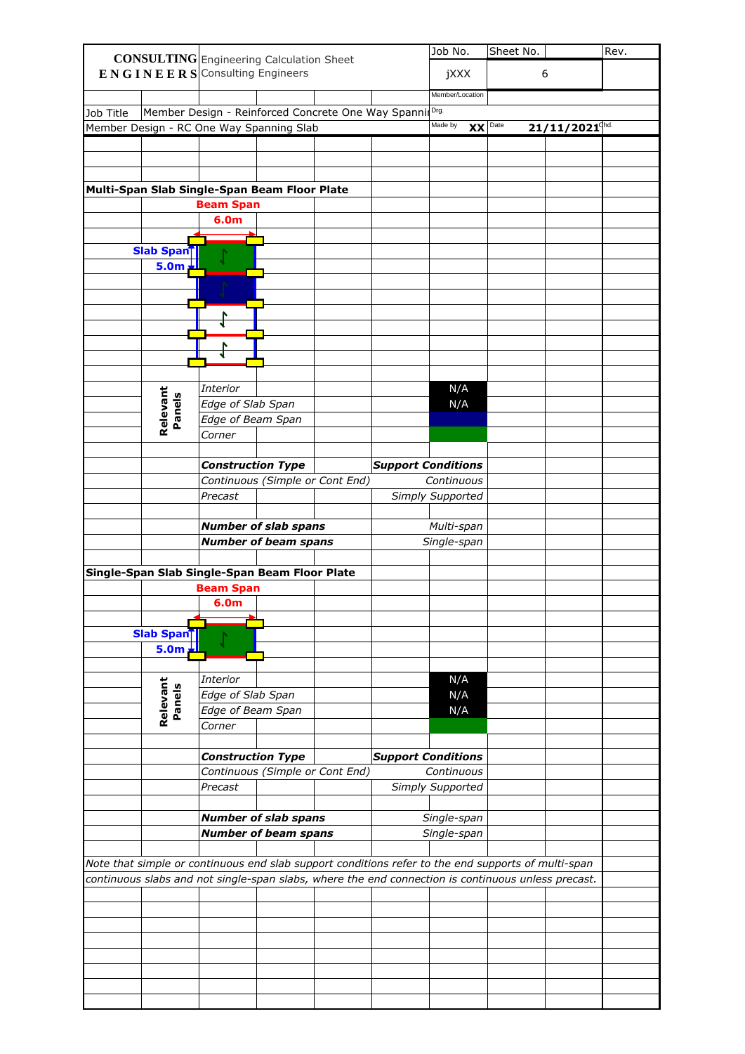|           |                    | <b>CONSULTING</b> Engineering Calculation Sheet                                                                                                                                                          |                                 |                           | Job No.              | Sheet No. |                              | Rev. |
|-----------|--------------------|----------------------------------------------------------------------------------------------------------------------------------------------------------------------------------------------------------|---------------------------------|---------------------------|----------------------|-----------|------------------------------|------|
|           |                    | $E N G I N E E R S$ Consulting Engineers                                                                                                                                                                 |                                 |                           | jXXX                 |           | 6                            |      |
|           |                    |                                                                                                                                                                                                          |                                 |                           | Member/Location      |           |                              |      |
| Job Title |                    | Member Design - Reinforced Concrete One Way Spanni                                                                                                                                                       |                                 |                           | Drg.                 |           |                              |      |
|           |                    | Member Design - RC One Way Spanning Slab                                                                                                                                                                 |                                 |                           | Made by<br>$XX$ Date |           | $21/11/2021$ <sup>chd.</sup> |      |
|           |                    |                                                                                                                                                                                                          |                                 |                           |                      |           |                              |      |
|           |                    |                                                                                                                                                                                                          |                                 |                           |                      |           |                              |      |
|           |                    |                                                                                                                                                                                                          |                                 |                           |                      |           |                              |      |
|           |                    | Multi-Span Slab Single-Span Beam Floor Plate                                                                                                                                                             |                                 |                           |                      |           |                              |      |
|           |                    | <b>Beam Span</b>                                                                                                                                                                                         |                                 |                           |                      |           |                              |      |
|           |                    | 6.0m                                                                                                                                                                                                     |                                 |                           |                      |           |                              |      |
|           | Slab Span          |                                                                                                                                                                                                          |                                 |                           |                      |           |                              |      |
|           | <b>5.0m</b>        |                                                                                                                                                                                                          |                                 |                           |                      |           |                              |      |
|           |                    |                                                                                                                                                                                                          |                                 |                           |                      |           |                              |      |
|           |                    |                                                                                                                                                                                                          |                                 |                           |                      |           |                              |      |
|           |                    |                                                                                                                                                                                                          |                                 |                           |                      |           |                              |      |
|           |                    |                                                                                                                                                                                                          |                                 |                           |                      |           |                              |      |
|           |                    |                                                                                                                                                                                                          |                                 |                           |                      |           |                              |      |
|           |                    |                                                                                                                                                                                                          |                                 |                           |                      |           |                              |      |
|           |                    | <b>Interior</b>                                                                                                                                                                                          |                                 |                           | N/A                  |           |                              |      |
|           |                    | Edge of Slab Span                                                                                                                                                                                        |                                 |                           | N/A                  |           |                              |      |
|           | Relevant<br>Panels | Edge of Beam Span                                                                                                                                                                                        |                                 |                           |                      |           |                              |      |
|           |                    | Corner                                                                                                                                                                                                   |                                 |                           |                      |           |                              |      |
|           |                    |                                                                                                                                                                                                          |                                 |                           |                      |           |                              |      |
|           |                    | <b>Construction Type</b>                                                                                                                                                                                 |                                 | <b>Support Conditions</b> |                      |           |                              |      |
|           |                    |                                                                                                                                                                                                          | Continuous (Simple or Cont End) |                           | Continuous           |           |                              |      |
|           |                    | Precast                                                                                                                                                                                                  |                                 |                           | Simply Supported     |           |                              |      |
|           |                    |                                                                                                                                                                                                          | <b>Number of slab spans</b>     |                           | Multi-span           |           |                              |      |
|           |                    |                                                                                                                                                                                                          | <b>Number of beam spans</b>     |                           | Single-span          |           |                              |      |
|           |                    |                                                                                                                                                                                                          |                                 |                           |                      |           |                              |      |
|           |                    | Single-Span Slab Single-Span Beam Floor Plate                                                                                                                                                            |                                 |                           |                      |           |                              |      |
|           |                    | <b>Beam Span</b>                                                                                                                                                                                         |                                 |                           |                      |           |                              |      |
|           |                    | 6.0m                                                                                                                                                                                                     |                                 |                           |                      |           |                              |      |
|           | Slab Span          |                                                                                                                                                                                                          |                                 |                           |                      |           |                              |      |
|           | <b>5.0m</b>        |                                                                                                                                                                                                          |                                 |                           |                      |           |                              |      |
|           |                    |                                                                                                                                                                                                          |                                 |                           |                      |           |                              |      |
|           |                    | <b>Interior</b>                                                                                                                                                                                          |                                 |                           | N/A                  |           |                              |      |
|           | Panels             | Edge of Slab Span                                                                                                                                                                                        |                                 |                           | N/A                  |           |                              |      |
|           | Relevant           | Edge of Beam Span                                                                                                                                                                                        |                                 |                           | N/A                  |           |                              |      |
|           |                    | Corner                                                                                                                                                                                                   |                                 |                           |                      |           |                              |      |
|           |                    | <b>Construction Type</b>                                                                                                                                                                                 |                                 | <b>Support Conditions</b> |                      |           |                              |      |
|           |                    |                                                                                                                                                                                                          | Continuous (Simple or Cont End) |                           | Continuous           |           |                              |      |
|           |                    | Precast                                                                                                                                                                                                  |                                 |                           | Simply Supported     |           |                              |      |
|           |                    |                                                                                                                                                                                                          |                                 |                           |                      |           |                              |      |
|           |                    |                                                                                                                                                                                                          | <b>Number of slab spans</b>     |                           | Single-span          |           |                              |      |
|           |                    |                                                                                                                                                                                                          | <b>Number of beam spans</b>     |                           | Single-span          |           |                              |      |
|           |                    |                                                                                                                                                                                                          |                                 |                           |                      |           |                              |      |
|           |                    | Note that simple or continuous end slab support conditions refer to the end supports of multi-span<br>continuous slabs and not single-span slabs, where the end connection is continuous unless precast. |                                 |                           |                      |           |                              |      |
|           |                    |                                                                                                                                                                                                          |                                 |                           |                      |           |                              |      |
|           |                    |                                                                                                                                                                                                          |                                 |                           |                      |           |                              |      |
|           |                    |                                                                                                                                                                                                          |                                 |                           |                      |           |                              |      |
|           |                    |                                                                                                                                                                                                          |                                 |                           |                      |           |                              |      |
|           |                    |                                                                                                                                                                                                          |                                 |                           |                      |           |                              |      |
|           |                    |                                                                                                                                                                                                          |                                 |                           |                      |           |                              |      |
|           |                    |                                                                                                                                                                                                          |                                 |                           |                      |           |                              |      |
|           |                    |                                                                                                                                                                                                          |                                 |                           |                      |           |                              |      |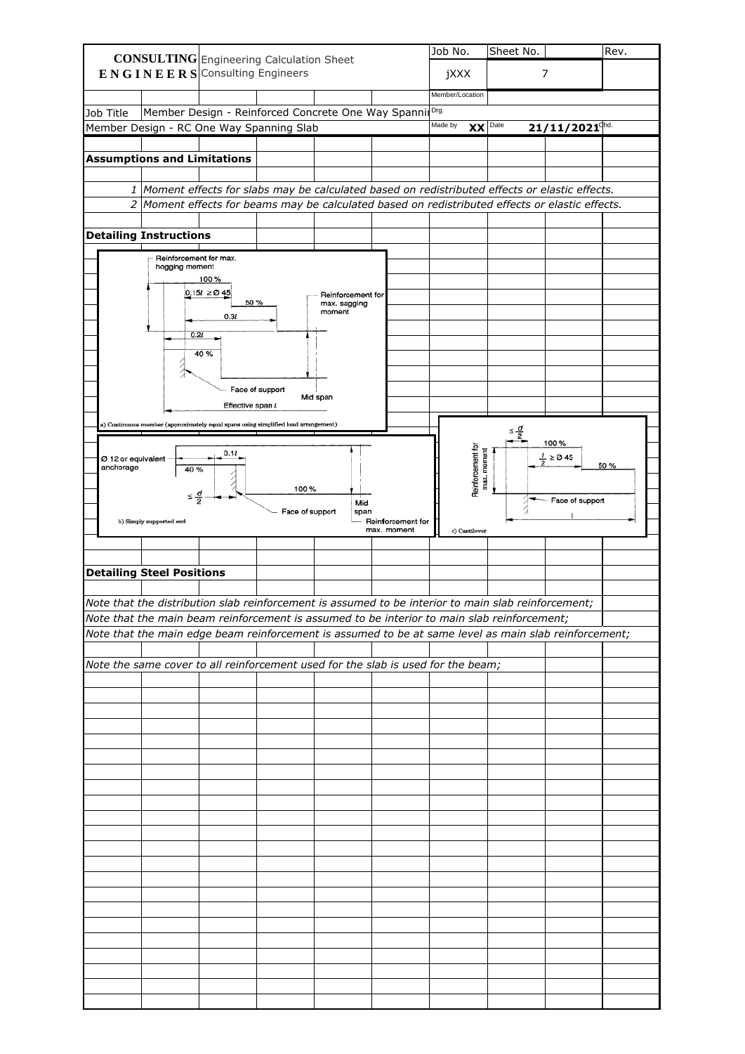|                                 | <b>CONSULTING</b> Engineering Calculation Sheet                                                       |                                                    |                 |                        |                                  | Job No.         |                                  | Sheet No.          |                              | Rev. |
|---------------------------------|-------------------------------------------------------------------------------------------------------|----------------------------------------------------|-----------------|------------------------|----------------------------------|-----------------|----------------------------------|--------------------|------------------------------|------|
|                                 | $E N G I N E E R S$ Consulting Engineers                                                              |                                                    |                 |                        |                                  | jXXX            |                                  |                    | 7                            |      |
|                                 |                                                                                                       |                                                    |                 |                        |                                  |                 |                                  |                    |                              |      |
|                                 |                                                                                                       |                                                    |                 |                        |                                  | Member/Location |                                  |                    |                              |      |
| Job Title                       |                                                                                                       | Member Design - Reinforced Concrete One Way Spanni |                 |                        |                                  | Drg.            |                                  |                    |                              |      |
|                                 | Member Design - RC One Way Spanning Slab                                                              |                                                    |                 |                        |                                  | Made by         | XX                               | Date               | $21/11/2021$ <sup>chd.</sup> |      |
|                                 |                                                                                                       |                                                    |                 |                        |                                  |                 |                                  |                    |                              |      |
|                                 | <b>Assumptions and Limitations</b>                                                                    |                                                    |                 |                        |                                  |                 |                                  |                    |                              |      |
|                                 |                                                                                                       |                                                    |                 |                        |                                  |                 |                                  |                    |                              |      |
|                                 | 1   Moment effects for slabs may be calculated based on redistributed effects or elastic effects.     |                                                    |                 |                        |                                  |                 |                                  |                    |                              |      |
|                                 | 2 Moment effects for beams may be calculated based on redistributed effects or elastic effects.       |                                                    |                 |                        |                                  |                 |                                  |                    |                              |      |
|                                 |                                                                                                       |                                                    |                 |                        |                                  |                 |                                  |                    |                              |      |
|                                 | <b>Detailing Instructions</b>                                                                         |                                                    |                 |                        |                                  |                 |                                  |                    |                              |      |
|                                 | Reinforcement for max.                                                                                |                                                    |                 |                        |                                  |                 |                                  |                    |                              |      |
|                                 | hogging moment                                                                                        | 100 %                                              |                 |                        |                                  |                 |                                  |                    |                              |      |
|                                 |                                                                                                       | $0.15l \geq 0.45$                                  |                 | Reinforcement for      |                                  |                 |                                  |                    |                              |      |
|                                 |                                                                                                       | 50 %                                               |                 | max. sagging<br>moment |                                  |                 |                                  |                    |                              |      |
|                                 |                                                                                                       | 0.3l                                               |                 |                        |                                  |                 |                                  |                    |                              |      |
|                                 | 0.2l                                                                                                  |                                                    |                 |                        |                                  |                 |                                  |                    |                              |      |
|                                 |                                                                                                       | 40%                                                |                 |                        |                                  |                 |                                  |                    |                              |      |
|                                 |                                                                                                       |                                                    |                 |                        |                                  |                 |                                  |                    |                              |      |
|                                 |                                                                                                       |                                                    | Face of support |                        |                                  |                 |                                  |                    |                              |      |
|                                 |                                                                                                       | Effective span l                                   |                 | Mid span               |                                  |                 |                                  |                    |                              |      |
|                                 |                                                                                                       |                                                    |                 |                        |                                  |                 |                                  |                    |                              |      |
|                                 | a) Continuous member (approximately equal spans using simplified load arrangement)                    |                                                    |                 |                        |                                  |                 |                                  | $\leq \frac{d}{2}$ |                              |      |
|                                 |                                                                                                       |                                                    |                 |                        |                                  |                 |                                  |                    | 100 %                        |      |
| Ø 12 or equivalent<br>anchorage | 40 %                                                                                                  | 0.1l                                               |                 |                        |                                  |                 | Reinforcement for<br>max. moment |                    | $\frac{l}{2} \ge 0.45$       | 50%  |
|                                 |                                                                                                       |                                                    |                 |                        |                                  |                 |                                  |                    |                              |      |
|                                 | $\leq \frac{d}{2}$                                                                                    |                                                    | 100%            |                        |                                  |                 |                                  |                    | Face of support              |      |
|                                 |                                                                                                       |                                                    | Face of support | Mid<br>span            |                                  |                 |                                  |                    |                              |      |
|                                 | b) Simply supported end                                                                               |                                                    |                 |                        | Reinforcement for<br>max. moment |                 | c) Cantilever                    |                    |                              |      |
|                                 |                                                                                                       |                                                    |                 |                        |                                  |                 |                                  |                    |                              |      |
|                                 |                                                                                                       |                                                    |                 |                        |                                  |                 |                                  |                    |                              |      |
|                                 | <b>Detailing Steel Positions</b>                                                                      |                                                    |                 |                        |                                  |                 |                                  |                    |                              |      |
|                                 |                                                                                                       |                                                    |                 |                        |                                  |                 |                                  |                    |                              |      |
|                                 | Note that the distribution slab reinforcement is assumed to be interior to main slab reinforcement;   |                                                    |                 |                        |                                  |                 |                                  |                    |                              |      |
|                                 | Note that the main beam reinforcement is assumed to be interior to main slab reinforcement;           |                                                    |                 |                        |                                  |                 |                                  |                    |                              |      |
|                                 | Note that the main edge beam reinforcement is assumed to be at same level as main slab reinforcement; |                                                    |                 |                        |                                  |                 |                                  |                    |                              |      |
|                                 |                                                                                                       |                                                    |                 |                        |                                  |                 |                                  |                    |                              |      |
|                                 | Note the same cover to all reinforcement used for the slab is used for the beam;                      |                                                    |                 |                        |                                  |                 |                                  |                    |                              |      |
|                                 |                                                                                                       |                                                    |                 |                        |                                  |                 |                                  |                    |                              |      |
|                                 |                                                                                                       |                                                    |                 |                        |                                  |                 |                                  |                    |                              |      |
|                                 |                                                                                                       |                                                    |                 |                        |                                  |                 |                                  |                    |                              |      |
|                                 |                                                                                                       |                                                    |                 |                        |                                  |                 |                                  |                    |                              |      |
|                                 |                                                                                                       |                                                    |                 |                        |                                  |                 |                                  |                    |                              |      |
|                                 |                                                                                                       |                                                    |                 |                        |                                  |                 |                                  |                    |                              |      |
|                                 |                                                                                                       |                                                    |                 |                        |                                  |                 |                                  |                    |                              |      |
|                                 |                                                                                                       |                                                    |                 |                        |                                  |                 |                                  |                    |                              |      |
|                                 |                                                                                                       |                                                    |                 |                        |                                  |                 |                                  |                    |                              |      |
|                                 |                                                                                                       |                                                    |                 |                        |                                  |                 |                                  |                    |                              |      |
|                                 |                                                                                                       |                                                    |                 |                        |                                  |                 |                                  |                    |                              |      |
|                                 |                                                                                                       |                                                    |                 |                        |                                  |                 |                                  |                    |                              |      |
|                                 |                                                                                                       |                                                    |                 |                        |                                  |                 |                                  |                    |                              |      |
|                                 |                                                                                                       |                                                    |                 |                        |                                  |                 |                                  |                    |                              |      |
|                                 |                                                                                                       |                                                    |                 |                        |                                  |                 |                                  |                    |                              |      |
|                                 |                                                                                                       |                                                    |                 |                        |                                  |                 |                                  |                    |                              |      |
|                                 |                                                                                                       |                                                    |                 |                        |                                  |                 |                                  |                    |                              |      |
|                                 |                                                                                                       |                                                    |                 |                        |                                  |                 |                                  |                    |                              |      |
|                                 |                                                                                                       |                                                    |                 |                        |                                  |                 |                                  |                    |                              |      |
|                                 |                                                                                                       |                                                    |                 |                        |                                  |                 |                                  |                    |                              |      |
|                                 |                                                                                                       |                                                    |                 |                        |                                  |                 |                                  |                    |                              |      |
|                                 |                                                                                                       |                                                    |                 |                        |                                  |                 |                                  |                    |                              |      |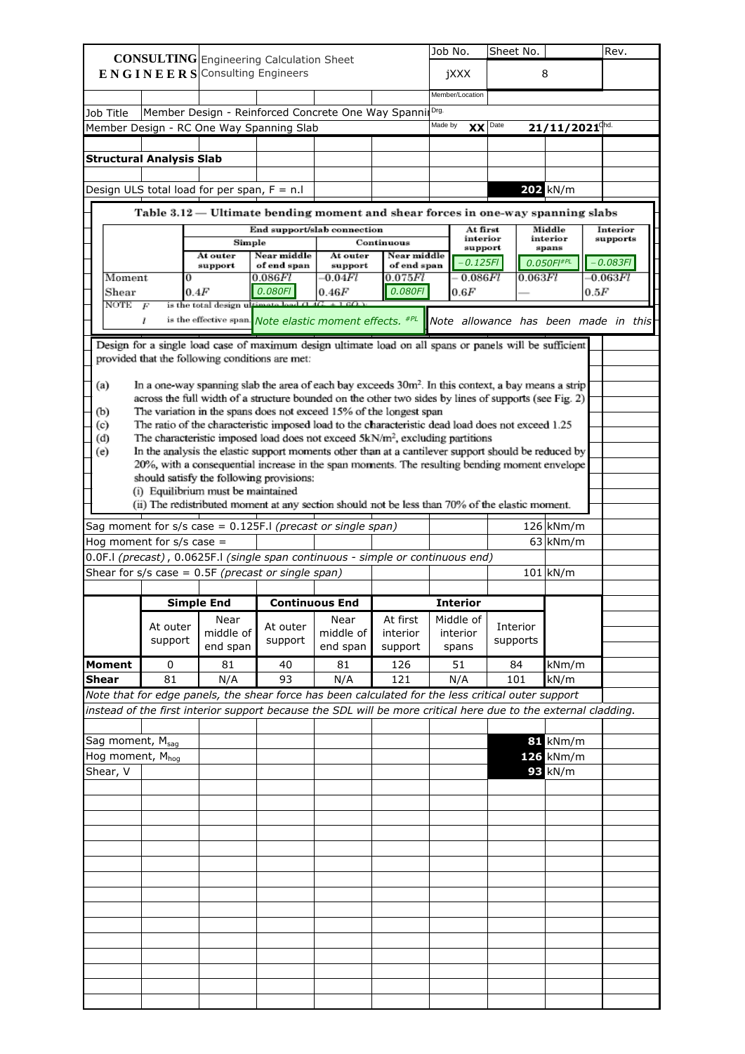|                                 |                  | <b>CONSULTING</b> Engineering Calculation Sheet                                                                                                                                                  |                             |                       |                           | Job No. |                      | Sheet No. |         |                              |      | Rev.                                 |  |
|---------------------------------|------------------|--------------------------------------------------------------------------------------------------------------------------------------------------------------------------------------------------|-----------------------------|-----------------------|---------------------------|---------|----------------------|-----------|---------|------------------------------|------|--------------------------------------|--|
|                                 |                  | $E N G I N E E R S$ Consulting Engineers                                                                                                                                                         |                             |                       |                           |         | jXXX                 |           |         | 8                            |      |                                      |  |
|                                 |                  |                                                                                                                                                                                                  |                             |                       |                           |         |                      |           |         |                              |      |                                      |  |
|                                 |                  |                                                                                                                                                                                                  |                             |                       |                           |         | Member/Location      |           |         |                              |      |                                      |  |
| Job Title                       |                  | Member Design - Reinforced Concrete One Way Spannil Drg.                                                                                                                                         |                             |                       |                           | Made by |                      |           |         |                              |      |                                      |  |
|                                 |                  | Member Design - RC One Way Spanning Slab                                                                                                                                                         |                             |                       |                           |         | <b>XX</b>            | Date      |         | $21/11/2021$ <sup>chd.</sup> |      |                                      |  |
|                                 |                  |                                                                                                                                                                                                  |                             |                       |                           |         |                      |           |         |                              |      |                                      |  |
| <b>Structural Analysis Slab</b> |                  |                                                                                                                                                                                                  |                             |                       |                           |         |                      |           |         |                              |      |                                      |  |
|                                 |                  | Design ULS total load for per span, $F = n.I$                                                                                                                                                    |                             |                       |                           |         |                      |           |         | 202 kN/m                     |      |                                      |  |
|                                 |                  | Table $3.12$ — Ultimate bending moment and shear forces in one-way spanning slabs                                                                                                                |                             |                       |                           |         |                      |           |         |                              |      |                                      |  |
|                                 |                  |                                                                                                                                                                                                  | End support/slab connection |                       |                           |         | At first<br>interior |           |         | Middle<br>interior           |      | Interior<br>supports                 |  |
|                                 |                  | Simple<br>At outer                                                                                                                                                                               | Near middle                 | At outer              | Continuous<br>Near middle |         | support              |           |         | spans                        |      |                                      |  |
|                                 |                  | support                                                                                                                                                                                          | of end span                 | support               | of end span               |         | $-0.125F1$           |           |         | 0.050FI#PL                   |      | $-0.083F$                            |  |
| Moment                          |                  |                                                                                                                                                                                                  | 0.086Fl                     | $-0.04Fl$             | 0.075Fl                   |         | 0.086Fl              |           | 0.063Fl |                              |      | $-0.063Fl$                           |  |
| Shear<br>NOTE                   | $\boldsymbol{F}$ | 0.4F<br>is the total design ultim                                                                                                                                                                | 0.080FI<br>51 A G           | 0.46F                 | 0.080FI                   |         | 0.6F                 |           |         |                              | 0.5F |                                      |  |
|                                 | ı                | is the effective span. Note elastic moment effects. #PL                                                                                                                                          |                             |                       |                           |         |                      |           |         |                              |      | Note allowance has been made in this |  |
|                                 |                  |                                                                                                                                                                                                  |                             |                       |                           |         |                      |           |         |                              |      |                                      |  |
|                                 |                  | Design for a single load case of maximum design ultimate load on all spans or panels will be sufficient                                                                                          |                             |                       |                           |         |                      |           |         |                              |      |                                      |  |
|                                 |                  | provided that the following conditions are met:                                                                                                                                                  |                             |                       |                           |         |                      |           |         |                              |      |                                      |  |
| (a)                             |                  | In a one-way spanning slab the area of each bay exceeds 30m <sup>2</sup> . In this context, a bay means a strip                                                                                  |                             |                       |                           |         |                      |           |         |                              |      |                                      |  |
|                                 |                  | across the full width of a structure bounded on the other two sides by lines of supports (see Fig. 2)                                                                                            |                             |                       |                           |         |                      |           |         |                              |      |                                      |  |
| (b)                             |                  | The variation in the spans does not exceed 15% of the longest span                                                                                                                               |                             |                       |                           |         |                      |           |         |                              |      |                                      |  |
| (c)                             |                  | The ratio of the characteristic imposed load to the characteristic dead load does not exceed 1.25                                                                                                |                             |                       |                           |         |                      |           |         |                              |      |                                      |  |
| (d)                             |                  | The characteristic imposed load does not exceed 5kN/m <sup>2</sup> , excluding partitions<br>In the analysis the elastic support moments other than at a cantilever support should be reduced by |                             |                       |                           |         |                      |           |         |                              |      |                                      |  |
| (e)                             |                  | 20%, with a consequential increase in the span moments. The resulting bending moment envelope                                                                                                    |                             |                       |                           |         |                      |           |         |                              |      |                                      |  |
|                                 |                  | should satisfy the following provisions:                                                                                                                                                         |                             |                       |                           |         |                      |           |         |                              |      |                                      |  |
|                                 |                  | (i) Equilibrium must be maintained                                                                                                                                                               |                             |                       |                           |         |                      |           |         |                              |      |                                      |  |
|                                 |                  | (ii) The redistributed moment at any section should not be less than 70% of the elastic moment.                                                                                                  |                             |                       |                           |         |                      |           |         |                              |      |                                      |  |
|                                 |                  | Sag moment for $s/s$ case = 0.125F.I (precast or single span)                                                                                                                                    |                             |                       |                           |         |                      |           |         | $126 \mid kNm/m$             |      |                                      |  |
| Hog moment for $s/s$ case =     |                  |                                                                                                                                                                                                  |                             |                       |                           |         |                      |           |         | 63 kNm/m                     |      |                                      |  |
|                                 |                  | 0.0F.I (precast), 0.0625F.I (single span continuous - simple or continuous end)                                                                                                                  |                             |                       |                           |         |                      |           |         |                              |      |                                      |  |
|                                 |                  | Shear for $s/s$ case = 0.5F (precast or single span)                                                                                                                                             |                             |                       |                           |         |                      |           |         | $101 \, \text{kN/m}$         |      |                                      |  |
|                                 |                  |                                                                                                                                                                                                  |                             |                       |                           |         |                      |           |         |                              |      |                                      |  |
|                                 |                  | <b>Simple End</b>                                                                                                                                                                                |                             | <b>Continuous End</b> |                           |         | <b>Interior</b>      |           |         |                              |      |                                      |  |
|                                 |                  | Near                                                                                                                                                                                             |                             | Near                  | At first                  |         | Middle of            |           |         |                              |      |                                      |  |
|                                 | At outer         | middle of                                                                                                                                                                                        | At outer                    | middle of             | interior                  |         | interior             | Interior  |         |                              |      |                                      |  |
|                                 | support          | end span                                                                                                                                                                                         | support                     | end span              | support                   |         | spans                | supports  |         |                              |      |                                      |  |
| <b>Moment</b>                   | 0                | 81                                                                                                                                                                                               | 40                          | 81                    | 126                       |         | 51                   | 84        |         | kNm/m                        |      |                                      |  |
| <b>Shear</b>                    | 81               | N/A                                                                                                                                                                                              | 93                          | N/A                   | 121                       |         | N/A                  | 101       |         | kN/m                         |      |                                      |  |
|                                 |                  | Note that for edge panels, the shear force has been calculated for the less critical outer support                                                                                               |                             |                       |                           |         |                      |           |         |                              |      |                                      |  |
|                                 |                  | instead of the first interior support because the SDL will be more critical here due to the external cladding.                                                                                   |                             |                       |                           |         |                      |           |         |                              |      |                                      |  |
|                                 |                  |                                                                                                                                                                                                  |                             |                       |                           |         |                      |           |         |                              |      |                                      |  |
| Sag moment, M <sub>sag</sub>    |                  |                                                                                                                                                                                                  |                             |                       |                           |         |                      |           |         | $81$ kNm/m                   |      |                                      |  |
| Hog moment, M <sub>hog</sub>    |                  |                                                                                                                                                                                                  |                             |                       |                           |         |                      |           |         | $126$ kNm/m                  |      |                                      |  |
| Shear, V                        |                  |                                                                                                                                                                                                  |                             |                       |                           |         |                      |           |         | $93$ kN/m                    |      |                                      |  |
|                                 |                  |                                                                                                                                                                                                  |                             |                       |                           |         |                      |           |         |                              |      |                                      |  |
|                                 |                  |                                                                                                                                                                                                  |                             |                       |                           |         |                      |           |         |                              |      |                                      |  |
|                                 |                  |                                                                                                                                                                                                  |                             |                       |                           |         |                      |           |         |                              |      |                                      |  |
|                                 |                  |                                                                                                                                                                                                  |                             |                       |                           |         |                      |           |         |                              |      |                                      |  |
|                                 |                  |                                                                                                                                                                                                  |                             |                       |                           |         |                      |           |         |                              |      |                                      |  |
|                                 |                  |                                                                                                                                                                                                  |                             |                       |                           |         |                      |           |         |                              |      |                                      |  |
|                                 |                  |                                                                                                                                                                                                  |                             |                       |                           |         |                      |           |         |                              |      |                                      |  |
|                                 |                  |                                                                                                                                                                                                  |                             |                       |                           |         |                      |           |         |                              |      |                                      |  |
|                                 |                  |                                                                                                                                                                                                  |                             |                       |                           |         |                      |           |         |                              |      |                                      |  |
|                                 |                  |                                                                                                                                                                                                  |                             |                       |                           |         |                      |           |         |                              |      |                                      |  |
|                                 |                  |                                                                                                                                                                                                  |                             |                       |                           |         |                      |           |         |                              |      |                                      |  |
|                                 |                  |                                                                                                                                                                                                  |                             |                       |                           |         |                      |           |         |                              |      |                                      |  |
|                                 |                  |                                                                                                                                                                                                  |                             |                       |                           |         |                      |           |         |                              |      |                                      |  |
|                                 |                  |                                                                                                                                                                                                  |                             |                       |                           |         |                      |           |         |                              |      |                                      |  |
|                                 |                  |                                                                                                                                                                                                  |                             |                       |                           |         |                      |           |         |                              |      |                                      |  |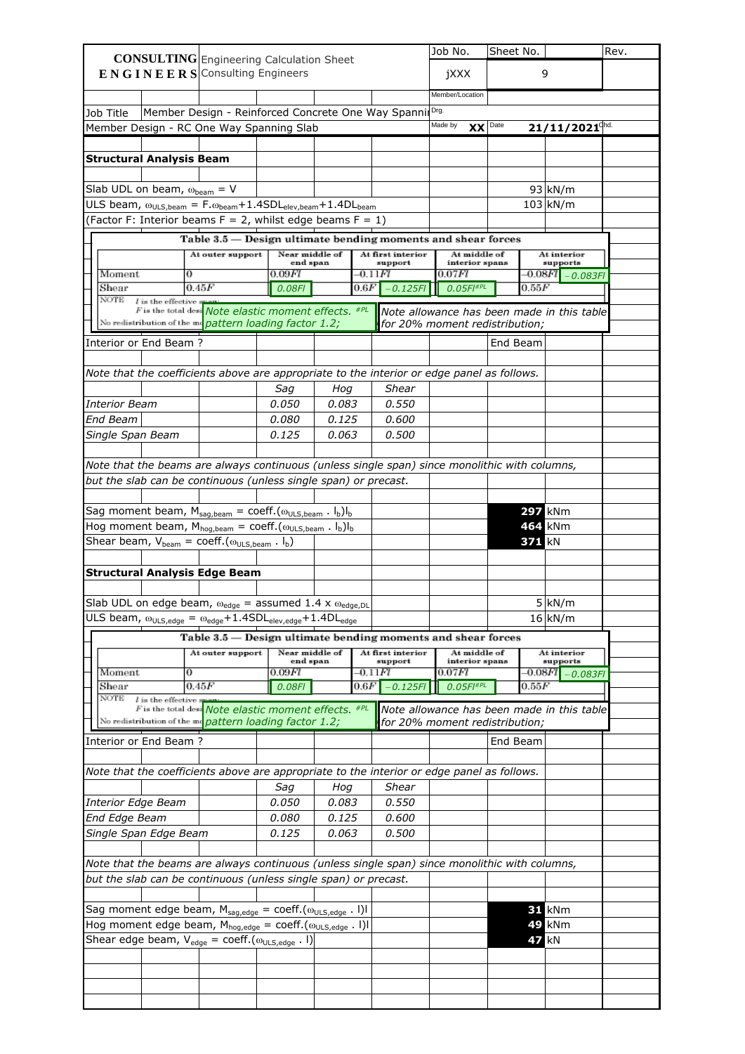|                                         |                                              |            | <b>CONSULTING</b> Engineering Calculation Sheet                                               |                            |                |                         |                                | Job No.         |              | Sheet No.      |                          |                                            | Rev. |
|-----------------------------------------|----------------------------------------------|------------|-----------------------------------------------------------------------------------------------|----------------------------|----------------|-------------------------|--------------------------------|-----------------|--------------|----------------|--------------------------|--------------------------------------------|------|
|                                         |                                              |            | ENGINEERS Consulting Engineers                                                                |                            |                |                         |                                | jXXX            |              |                |                          | 9                                          |      |
|                                         |                                              |            |                                                                                               |                            |                |                         |                                |                 |              |                |                          |                                            |      |
|                                         |                                              |            |                                                                                               |                            |                |                         |                                | Member/Location |              |                |                          |                                            |      |
| Job Title                               |                                              |            | Member Design - Reinforced Concrete One Way Spannil Drg.                                      |                            |                |                         |                                |                 |              |                |                          |                                            |      |
|                                         |                                              |            | Member Design - RC One Way Spanning Slab                                                      |                            |                |                         |                                | Made by         |              | $XX$ Date      |                          | $21/11/2021$ <sup>chd.</sup>               |      |
|                                         |                                              |            |                                                                                               |                            |                |                         |                                |                 |              |                |                          |                                            |      |
|                                         | <b>Structural Analysis Beam</b>              |            |                                                                                               |                            |                |                         |                                |                 |              |                |                          |                                            |      |
|                                         |                                              |            |                                                                                               |                            |                |                         |                                |                 |              |                |                          | $93 \mid kN/m$                             |      |
|                                         | Slab UDL on beam, $\omega_{\text{beam}} = V$ |            | ULS beam, $\omega_{ULS,beam} = F.\omega_{beam} + 1.4SDL_{elev,beam} + 1.4DL_{beam}$           |                            |                |                         |                                |                 |              |                |                          | $103 \mid kN/m$                            |      |
|                                         |                                              |            | (Factor F: Interior beams $F = 2$ , whilst edge beams $F = 1$ )                               |                            |                |                         |                                |                 |              |                |                          |                                            |      |
|                                         |                                              |            | Table 3.5 - Design ultimate bending moments and shear forces                                  |                            |                |                         |                                |                 |              |                |                          |                                            |      |
|                                         |                                              |            | At outer support                                                                              | Near middle of             |                |                         | At first interior              |                 | At middle of |                |                          | At interior                                |      |
|                                         |                                              |            |                                                                                               | end span                   |                |                         | support                        |                 |              | interior spans |                          | supports                                   |      |
| Moment<br>Shear                         |                                              | 0<br>0.45F |                                                                                               | 0.09FI                     |                | -0.11 <i>Fl</i><br>0.6F | $-0.125F1$                     | 0.07Fl          | 0.05FI#PL    |                | -0.08 <i>F1</i><br>0.55F | 0.083F                                     |      |
| NOTE                                    | $l$ is the effective                         |            |                                                                                               | 0.08FI                     |                |                         |                                |                 |              |                |                          |                                            |      |
|                                         |                                              |            | F is the total desi Note elastic moment effects. #PL                                          |                            |                |                         |                                |                 |              |                |                          | Note allowance has been made in this table |      |
|                                         |                                              |            | No redistribution of the me pattern loading factor 1.2;                                       |                            |                |                         | for 20% moment redistribution; |                 |              |                |                          |                                            |      |
|                                         | Interior or End Beam?                        |            |                                                                                               |                            |                |                         |                                |                 |              | End Beam       |                          |                                            |      |
|                                         |                                              |            |                                                                                               |                            |                |                         |                                |                 |              |                |                          |                                            |      |
|                                         |                                              |            | Note that the coefficients above are appropriate to the interior or edge panel as follows.    |                            |                |                         |                                |                 |              |                |                          |                                            |      |
|                                         |                                              |            |                                                                                               | Sag                        | Hog            |                         | <b>Shear</b>                   |                 |              |                |                          |                                            |      |
| <b>Interior Beam</b><br><b>End Beam</b> |                                              |            |                                                                                               | 0.050<br>0.080             | 0.083<br>0.125 |                         | 0.550<br>0.600                 |                 |              |                |                          |                                            |      |
|                                         | Single Span Beam                             |            |                                                                                               | 0.125                      | 0.063          |                         | 0.500                          |                 |              |                |                          |                                            |      |
|                                         |                                              |            |                                                                                               |                            |                |                         |                                |                 |              |                |                          |                                            |      |
|                                         |                                              |            | Note that the beams are always continuous (unless single span) since monolithic with columns, |                            |                |                         |                                |                 |              |                |                          |                                            |      |
|                                         |                                              |            | but the slab can be continuous (unless single span) or precast.                               |                            |                |                         |                                |                 |              |                |                          |                                            |      |
|                                         |                                              |            |                                                                                               |                            |                |                         |                                |                 |              |                |                          |                                            |      |
|                                         |                                              |            | Sag moment beam, $M_{sag,beam} = \text{coeff.}(\omega_{ULS,beam} \cdot I_b)I_b$               |                            |                |                         |                                |                 |              |                |                          | <b>297 kNm</b>                             |      |
|                                         |                                              |            | Hog moment beam, $M_{hog,beam} = \text{coeff.}(\omega_{ULS,beam} \cdot I_b)I_b$               |                            |                |                         |                                |                 |              |                |                          | 464 kNm                                    |      |
|                                         |                                              |            | Shear beam, $V_{beam} = \text{coeff.}(\omega_{ULS,beam}$ . $I_b)$                             |                            |                |                         |                                |                 |              |                | <b>371 kN</b>            |                                            |      |
|                                         |                                              |            |                                                                                               |                            |                |                         |                                |                 |              |                |                          |                                            |      |
|                                         |                                              |            | <b>Structural Analysis Edge Beam</b>                                                          |                            |                |                         |                                |                 |              |                |                          |                                            |      |
|                                         |                                              |            |                                                                                               |                            |                |                         |                                |                 |              |                |                          |                                            |      |
|                                         |                                              |            | Slab UDL on edge beam, $\omega_{edge}$ = assumed 1.4 x $\omega_{edge,DL}$                     |                            |                |                         |                                |                 |              |                |                          | 5 kN/m                                     |      |
|                                         |                                              |            | ULS beam, $\omega_{ULS,edge} = \omega_{edge} + 1.4SDL_{elev,edge} + 1.4DL_{edge}$             |                            |                |                         |                                |                 |              |                |                          | $16 \mid kN/m$                             |      |
|                                         |                                              |            | Table 3.5 – Design ultimate bending moments and shear forces                                  |                            |                |                         |                                |                 |              |                |                          |                                            |      |
|                                         |                                              |            | At outer support                                                                              | Near middle of<br>end span |                |                         | At first interior<br>support   |                 | At middle of | interior spans |                          | At interior<br>supports                    |      |
| Moment                                  |                                              | 0          |                                                                                               | 0.09FI                     |                | -0.11 <i>Fl</i>         |                                | 0.07Fl          |              |                | -0.08 <i>F1</i>          | 0.083FI                                    |      |
| Shear                                   |                                              | 0.45F      |                                                                                               | 0.08FI                     |                | 0.6F                    | $-0.125F$                      |                 | 0.05FI#PL    |                | 0.55F                    |                                            |      |
| NOTE                                    | $l$ is the effective $s$                     |            | F is the total desi Note elastic moment effects. #PL                                          |                            |                |                         |                                |                 |              |                |                          | Note allowance has been made in this table |      |
|                                         |                                              |            | No redistribution of the monopottern loading factor $1.2$ ;                                   |                            |                |                         | for 20% moment redistribution; |                 |              |                |                          |                                            |      |
|                                         | Interior or End Beam?                        |            |                                                                                               |                            |                |                         |                                |                 |              | End Beam       |                          |                                            |      |
|                                         |                                              |            |                                                                                               |                            |                |                         |                                |                 |              |                |                          |                                            |      |
|                                         |                                              |            | Note that the coefficients above are appropriate to the interior or edge panel as follows.    |                            |                |                         |                                |                 |              |                |                          |                                            |      |
|                                         |                                              |            |                                                                                               | Sag                        | Hog            |                         | <b>Shear</b>                   |                 |              |                |                          |                                            |      |
|                                         | <b>Interior Edge Beam</b>                    |            |                                                                                               | 0.050                      | 0.083          |                         | 0.550                          |                 |              |                |                          |                                            |      |
| <b>End Edge Beam</b>                    |                                              |            |                                                                                               | 0.080                      | 0.125          |                         | 0.600                          |                 |              |                |                          |                                            |      |
|                                         | Single Span Edge Beam                        |            |                                                                                               | 0.125                      | 0.063          |                         | 0.500                          |                 |              |                |                          |                                            |      |
|                                         |                                              |            |                                                                                               |                            |                |                         |                                |                 |              |                |                          |                                            |      |
|                                         |                                              |            | Note that the beams are always continuous (unless single span) since monolithic with columns, |                            |                |                         |                                |                 |              |                |                          |                                            |      |
|                                         |                                              |            | but the slab can be continuous (unless single span) or precast.                               |                            |                |                         |                                |                 |              |                |                          |                                            |      |
|                                         |                                              |            |                                                                                               |                            |                |                         |                                |                 |              |                |                          |                                            |      |
|                                         |                                              |            | Sag moment edge beam, $M_{sag,edge} = \text{coeff.}(\omega_{ULS,edge}$ . I)I                  |                            |                |                         |                                |                 |              |                |                          | <b>31 kNm</b>                              |      |
|                                         |                                              |            | Hog moment edge beam, $M_{\text{hog,edge}} = \text{coeff.}(\omega_{\text{ULS,edge}}$ . I)I    |                            |                |                         |                                |                 |              |                |                          | 49 kNm                                     |      |
|                                         |                                              |            | Shear edge beam, $V_{edge} = \text{coeff.}(\omega_{ULS,edge} \cdot I)$                        |                            |                |                         |                                |                 |              |                |                          | kN                                         |      |
|                                         |                                              |            |                                                                                               |                            |                |                         |                                |                 |              |                |                          |                                            |      |
|                                         |                                              |            |                                                                                               |                            |                |                         |                                |                 |              |                |                          |                                            |      |
|                                         |                                              |            |                                                                                               |                            |                |                         |                                |                 |              |                |                          |                                            |      |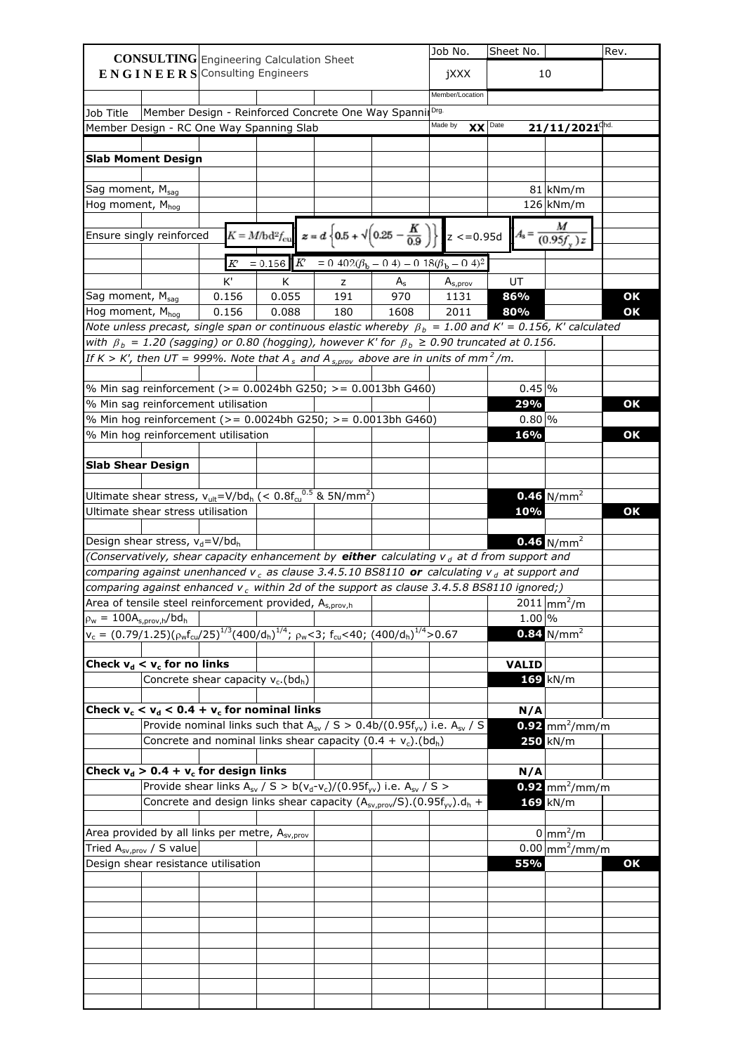|                                 |                                                        | <b>CONSULTING</b> Engineering Calculation Sheet                                                                        |       |     |         | Job No.                                                                                                                                               | Sheet No.    |                                | Rev. |
|---------------------------------|--------------------------------------------------------|------------------------------------------------------------------------------------------------------------------------|-------|-----|---------|-------------------------------------------------------------------------------------------------------------------------------------------------------|--------------|--------------------------------|------|
|                                 |                                                        | <b>ENGINEERS</b> Consulting Engineers                                                                                  |       |     |         | jXXX                                                                                                                                                  |              | 10                             |      |
|                                 |                                                        |                                                                                                                        |       |     |         |                                                                                                                                                       |              |                                |      |
|                                 |                                                        |                                                                                                                        |       |     |         | Member/Location                                                                                                                                       |              |                                |      |
| Job Title                       |                                                        | Member Design - Reinforced Concrete One Way SpannilDrg.                                                                |       |     |         | Made by                                                                                                                                               |              |                                |      |
|                                 |                                                        | Member Design - RC One Way Spanning Slab                                                                               |       |     |         | $XX$ Date                                                                                                                                             |              | $21/11/2021$ <sup>chd.</sup>   |      |
|                                 |                                                        |                                                                                                                        |       |     |         |                                                                                                                                                       |              |                                |      |
|                                 | <b>Slab Moment Design</b>                              |                                                                                                                        |       |     |         |                                                                                                                                                       |              |                                |      |
| Sag moment, Msag                |                                                        |                                                                                                                        |       |     |         |                                                                                                                                                       |              | $81 \mid kNm/m$                |      |
| Hog moment, Mhog                |                                                        |                                                                                                                        |       |     |         |                                                                                                                                                       |              | $126 \mid kNm/m$               |      |
|                                 |                                                        |                                                                                                                        |       |     |         |                                                                                                                                                       |              |                                |      |
|                                 | Ensure singly reinforced                               |                                                                                                                        |       |     |         | $K = M/bd^2 f_{\text{cu}}$ $\approx$ = $d \left\{ 0.5 + \sqrt{0.25 - \frac{K}{0.9}} \right\}$ $\left[ Z \right] < 0.95d$ $A_s = \frac{M}{(0.95f_v)z}$ |              |                                |      |
|                                 |                                                        |                                                                                                                        |       |     |         |                                                                                                                                                       |              |                                |      |
|                                 |                                                        | $\cal K$                                                                                                               |       |     |         | $= 0.156$ $K = 0.402(\beta_b - 0.4) - 0.18(\beta_b - 0.4)^2$                                                                                          |              |                                |      |
|                                 |                                                        | K'                                                                                                                     | K     | z   | $A_{s}$ | $A_{s,prov}$                                                                                                                                          | UT           |                                |      |
| Sag moment, M <sub>sag</sub>    |                                                        | 0.156                                                                                                                  | 0.055 | 191 | 970     | 1131                                                                                                                                                  | 86%          |                                | OK   |
| Hog moment, M <sub>hog</sub>    |                                                        | 0.156                                                                                                                  | 0.088 | 180 | 1608    | 2011                                                                                                                                                  | 80%          |                                | OK   |
|                                 |                                                        | Note unless precast, single span or continuous elastic whereby $\beta_b = 1.00$ and K' = 0.156, K' calculated          |       |     |         |                                                                                                                                                       |              |                                |      |
|                                 |                                                        | with $\beta_b = 1.20$ (sagging) or 0.80 (hogging), however K' for $\beta_b \ge 0.90$ truncated at 0.156.               |       |     |         |                                                                                                                                                       |              |                                |      |
|                                 |                                                        | If K > K', then UT = 999%. Note that A <sub>s</sub> and A <sub>s, prov</sub> above are in units of mm <sup>2</sup> /m. |       |     |         |                                                                                                                                                       |              |                                |      |
|                                 |                                                        |                                                                                                                        |       |     |         |                                                                                                                                                       |              |                                |      |
|                                 |                                                        | % Min sag reinforcement (>= 0.0024bh G250; >= 0.0013bh G460)                                                           |       |     |         |                                                                                                                                                       | $0.45$ %     |                                |      |
|                                 |                                                        | % Min sag reinforcement utilisation                                                                                    |       |     |         |                                                                                                                                                       | 29%          |                                | OK   |
|                                 |                                                        | % Min hog reinforcement (>= 0.0024bh G250; >= 0.0013bh G460)                                                           |       |     |         |                                                                                                                                                       | $0.80\%$     |                                |      |
|                                 |                                                        | % Min hog reinforcement utilisation                                                                                    |       |     |         |                                                                                                                                                       | 16%          |                                | OK   |
|                                 |                                                        |                                                                                                                        |       |     |         |                                                                                                                                                       |              |                                |      |
| <b>Slab Shear Design</b>        |                                                        |                                                                                                                        |       |     |         |                                                                                                                                                       |              |                                |      |
|                                 |                                                        |                                                                                                                        |       |     |         |                                                                                                                                                       |              |                                |      |
|                                 |                                                        | Ultimate shear stress, $v_{ult} = V/bd_h$ (< 0.8 $f_{cu}^{0.5}$ & 5N/mm <sup>2</sup> )                                 |       |     |         |                                                                                                                                                       |              | 0.46 $N/mm^2$                  |      |
|                                 | Ultimate shear stress utilisation                      |                                                                                                                        |       |     |         |                                                                                                                                                       | 10%          |                                | OK   |
|                                 |                                                        |                                                                                                                        |       |     |         |                                                                                                                                                       |              |                                |      |
|                                 | Design shear stress, v <sub>d</sub> =V/bd <sub>h</sub> |                                                                                                                        |       |     |         |                                                                                                                                                       |              | $0.46$ N/mm <sup>2</sup>       |      |
|                                 |                                                        | (Conservatively, shear capacity enhancement by either calculating $v_d$ at d from support and                          |       |     |         |                                                                                                                                                       |              |                                |      |
|                                 |                                                        | comparing against unenhanced $v_c$ as clause 3.4.5.10 BS8110 or calculating $v_d$ at support and                       |       |     |         |                                                                                                                                                       |              |                                |      |
|                                 |                                                        | comparing against enhanced $v_c$ within 2d of the support as clause 3.4.5.8 BS8110 ignored;)                           |       |     |         |                                                                                                                                                       |              |                                |      |
|                                 |                                                        | Area of tensile steel reinforcement provided, A <sub>s,prov,h</sub>                                                    |       |     |         |                                                                                                                                                       |              | $2011 \, \text{mm}^2/\text{m}$ |      |
| $\rho_w = 100A_{s,prov,h}/bd_h$ |                                                        |                                                                                                                        |       |     |         |                                                                                                                                                       | $1.00\%$     |                                |      |
|                                 |                                                        | $v_c = (0.79/1.25)(\rho_w f_{cu}/25)^{1/3}(400/d_h)^{1/4}; \rho_w < 3; f_{cu} < 40; (400/d_h)^{1/4} > 0.67$            |       |     |         |                                                                                                                                                       |              | $0.84$ N/mm <sup>2</sup>       |      |
|                                 |                                                        |                                                                                                                        |       |     |         |                                                                                                                                                       |              |                                |      |
|                                 | Check $v_d < v_c$ for no links                         |                                                                                                                        |       |     |         |                                                                                                                                                       | <b>VALID</b> |                                |      |
|                                 |                                                        | Concrete shear capacity $v_c$ . (bd <sub>h</sub> )                                                                     |       |     |         |                                                                                                                                                       |              | $169$ kN/m                     |      |
|                                 |                                                        |                                                                                                                        |       |     |         |                                                                                                                                                       |              |                                |      |
|                                 |                                                        | Check $v_c < v_d < 0.4 + v_c$ for nominal links                                                                        |       |     |         |                                                                                                                                                       | N/A          |                                |      |
|                                 |                                                        | Provide nominal links such that $A_{sv}$ / S > 0.4b/(0.95f <sub>yv</sub> ) i.e. $A_{sv}$ / S                           |       |     |         |                                                                                                                                                       |              | $0.92$ mm <sup>2</sup> /mm/m   |      |
|                                 |                                                        | Concrete and nominal links shear capacity $(0.4 + v_c)$ . (bd <sub>h</sub> )                                           |       |     |         |                                                                                                                                                       |              | $250$ kN/m                     |      |
|                                 |                                                        |                                                                                                                        |       |     |         |                                                                                                                                                       |              |                                |      |
|                                 |                                                        | Check $v_d > 0.4 + v_c$ for design links                                                                               |       |     |         |                                                                                                                                                       | N/A          |                                |      |
|                                 |                                                        | Provide shear links $A_{sv}$ / S > b( $v_d$ - $v_c$ )/(0.95f <sub>vv</sub> ) i.e. $A_{sv}$ / S >                       |       |     |         |                                                                                                                                                       |              | $0.92$ mm <sup>2</sup> /mm/m   |      |
|                                 |                                                        | Concrete and design links shear capacity $(A_{sv,prov}/S)$ . (0.95f <sub>yv</sub> ). $d_h$ +                           |       |     |         |                                                                                                                                                       |              | $169$ kN/m                     |      |
|                                 |                                                        |                                                                                                                        |       |     |         |                                                                                                                                                       |              |                                |      |
|                                 |                                                        | Area provided by all links per metre, A <sub>sv,prov</sub>                                                             |       |     |         |                                                                                                                                                       |              | $0 \mid mm^2/m$                |      |
|                                 | Tried A <sub>sv,prov</sub> / S value                   |                                                                                                                        |       |     |         |                                                                                                                                                       |              | $0.00$ mm <sup>2</sup> /mm/m   |      |
|                                 |                                                        | Design shear resistance utilisation                                                                                    |       |     |         |                                                                                                                                                       | 55%          |                                | OK   |
|                                 |                                                        |                                                                                                                        |       |     |         |                                                                                                                                                       |              |                                |      |
|                                 |                                                        |                                                                                                                        |       |     |         |                                                                                                                                                       |              |                                |      |
|                                 |                                                        |                                                                                                                        |       |     |         |                                                                                                                                                       |              |                                |      |
|                                 |                                                        |                                                                                                                        |       |     |         |                                                                                                                                                       |              |                                |      |
|                                 |                                                        |                                                                                                                        |       |     |         |                                                                                                                                                       |              |                                |      |
|                                 |                                                        |                                                                                                                        |       |     |         |                                                                                                                                                       |              |                                |      |
|                                 |                                                        |                                                                                                                        |       |     |         |                                                                                                                                                       |              |                                |      |
|                                 |                                                        |                                                                                                                        |       |     |         |                                                                                                                                                       |              |                                |      |
|                                 |                                                        |                                                                                                                        |       |     |         |                                                                                                                                                       |              |                                |      |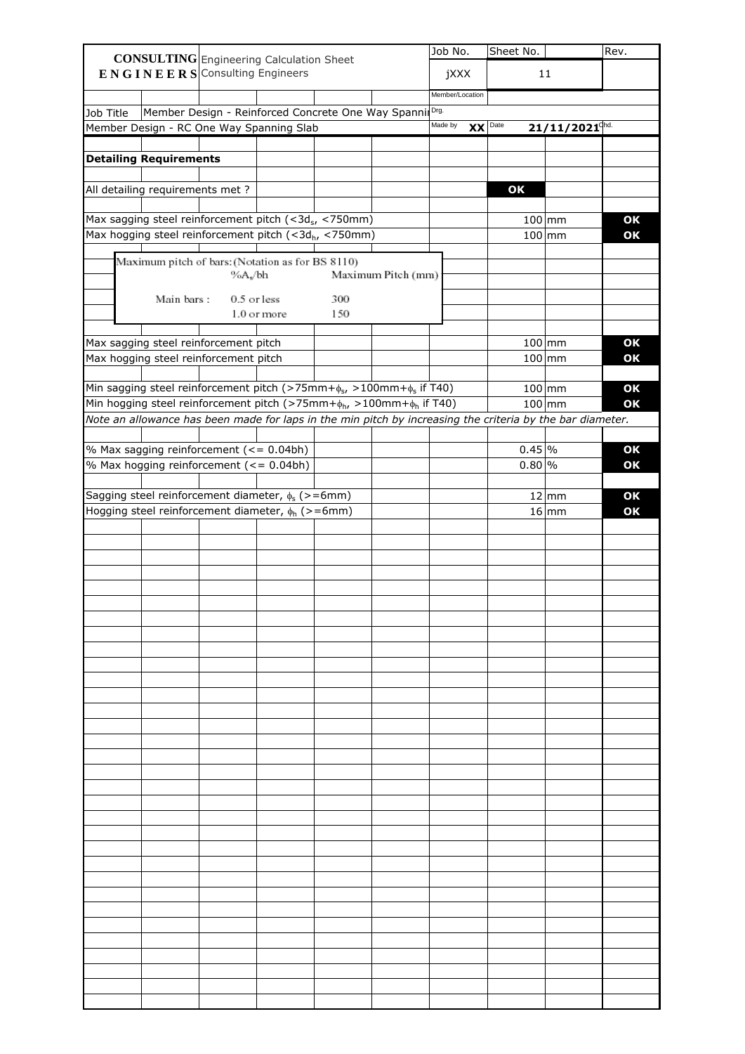|           |                                  | <b>CONSULTING</b> Engineering Calculation Sheet                                                                           |             |     |                    | Job No.         |    | Sheet No.         |                                  | Rev.     |
|-----------|----------------------------------|---------------------------------------------------------------------------------------------------------------------------|-------------|-----|--------------------|-----------------|----|-------------------|----------------------------------|----------|
|           |                                  | $E N G I N E E R S$ Consulting Engineers                                                                                  |             |     |                    | jXXX            |    |                   | 11                               |          |
|           |                                  |                                                                                                                           |             |     |                    | Member/Location |    |                   |                                  |          |
|           |                                  |                                                                                                                           |             |     |                    | Drg.            |    |                   |                                  |          |
| Job Title |                                  | Member Design - Reinforced Concrete One Way Spanni<br>Member Design - RC One Way Spanning Slab                            |             |     |                    | Made by         | XX | Date              | $21/11/2021$ <sup>chd.</sup>     |          |
|           |                                  |                                                                                                                           |             |     |                    |                 |    |                   |                                  |          |
|           | <b>Detailing Requirements</b>    |                                                                                                                           |             |     |                    |                 |    |                   |                                  |          |
|           | All detailing requirements met ? |                                                                                                                           |             |     |                    |                 |    | OK                |                                  |          |
|           |                                  |                                                                                                                           |             |     |                    |                 |    |                   |                                  |          |
|           |                                  | Max sagging steel reinforcement pitch (<3d <sub>s</sub> , <750mm)<br>Max hogging steel reinforcement pitch (<3dh, <750mm) |             |     |                    |                 |    |                   | $100 \, \mathrm{mm}$<br>$100$ mm | OK<br>OK |
|           |                                  |                                                                                                                           |             |     |                    |                 |    |                   |                                  |          |
|           |                                  | Maximum pitch of bars: (Notation as for BS 8110)<br>%A./bh                                                                |             |     | Maximum Pitch (mm) |                 |    |                   |                                  |          |
|           | Main bars:                       | 0.5 or less                                                                                                               |             | 300 |                    |                 |    |                   |                                  |          |
|           |                                  |                                                                                                                           | 1.0 or more | 150 |                    |                 |    |                   |                                  |          |
|           |                                  |                                                                                                                           |             |     |                    |                 |    |                   |                                  |          |
|           |                                  | Max sagging steel reinforcement pitch                                                                                     |             |     |                    |                 |    |                   | $100$ mm                         | OK       |
|           |                                  | Max hogging steel reinforcement pitch                                                                                     |             |     |                    |                 |    |                   | $100$ mm                         | OK       |
|           |                                  | Min sagging steel reinforcement pitch (>75mm+ $\phi$ s, >100mm+ $\phi$ s if T40)                                          |             |     |                    |                 |    |                   | $100$ mm                         | OK       |
|           |                                  | Min hogging steel reinforcement pitch (>75mm+ $\phi_{h}$ , >100mm+ $\phi_{h}$ if T40)                                     |             |     |                    |                 |    |                   | $100$ mm                         | OK       |
|           |                                  | Note an allowance has been made for laps in the min pitch by increasing the criteria by the bar diameter.                 |             |     |                    |                 |    |                   |                                  |          |
|           |                                  |                                                                                                                           |             |     |                    |                 |    |                   |                                  |          |
|           |                                  | % Max sagging reinforcement (<= 0.04bh)                                                                                   |             |     |                    |                 |    | $0.45\frac{9}{6}$ |                                  | OK       |
|           |                                  | % Max hogging reinforcement (<= 0.04bh)                                                                                   |             |     |                    |                 |    | $0.80\%$          |                                  | OK       |
|           |                                  |                                                                                                                           |             |     |                    |                 |    |                   |                                  |          |
|           |                                  | Sagging steel reinforcement diameter, $\phi_s$ (>=6mm)                                                                    |             |     |                    |                 |    |                   | $12 \mid mm$                     | OK       |
|           |                                  | Hogging steel reinforcement diameter, $\phi_h$ (>=6mm)                                                                    |             |     |                    |                 |    |                   | $16 \mid mm$                     | OK       |
|           |                                  |                                                                                                                           |             |     |                    |                 |    |                   |                                  |          |
|           |                                  |                                                                                                                           |             |     |                    |                 |    |                   |                                  |          |
|           |                                  |                                                                                                                           |             |     |                    |                 |    |                   |                                  |          |
|           |                                  |                                                                                                                           |             |     |                    |                 |    |                   |                                  |          |
|           |                                  |                                                                                                                           |             |     |                    |                 |    |                   |                                  |          |
|           |                                  |                                                                                                                           |             |     |                    |                 |    |                   |                                  |          |
|           |                                  |                                                                                                                           |             |     |                    |                 |    |                   |                                  |          |
|           |                                  |                                                                                                                           |             |     |                    |                 |    |                   |                                  |          |
|           |                                  |                                                                                                                           |             |     |                    |                 |    |                   |                                  |          |
|           |                                  |                                                                                                                           |             |     |                    |                 |    |                   |                                  |          |
|           |                                  |                                                                                                                           |             |     |                    |                 |    |                   |                                  |          |
|           |                                  |                                                                                                                           |             |     |                    |                 |    |                   |                                  |          |
|           |                                  |                                                                                                                           |             |     |                    |                 |    |                   |                                  |          |
|           |                                  |                                                                                                                           |             |     |                    |                 |    |                   |                                  |          |
|           |                                  |                                                                                                                           |             |     |                    |                 |    |                   |                                  |          |
|           |                                  |                                                                                                                           |             |     |                    |                 |    |                   |                                  |          |
|           |                                  |                                                                                                                           |             |     |                    |                 |    |                   |                                  |          |
|           |                                  |                                                                                                                           |             |     |                    |                 |    |                   |                                  |          |
|           |                                  |                                                                                                                           |             |     |                    |                 |    |                   |                                  |          |
|           |                                  |                                                                                                                           |             |     |                    |                 |    |                   |                                  |          |
|           |                                  |                                                                                                                           |             |     |                    |                 |    |                   |                                  |          |
|           |                                  |                                                                                                                           |             |     |                    |                 |    |                   |                                  |          |
|           |                                  |                                                                                                                           |             |     |                    |                 |    |                   |                                  |          |
|           |                                  |                                                                                                                           |             |     |                    |                 |    |                   |                                  |          |
|           |                                  |                                                                                                                           |             |     |                    |                 |    |                   |                                  |          |
|           |                                  |                                                                                                                           |             |     |                    |                 |    |                   |                                  |          |
|           |                                  |                                                                                                                           |             |     |                    |                 |    |                   |                                  |          |
|           |                                  |                                                                                                                           |             |     |                    |                 |    |                   |                                  |          |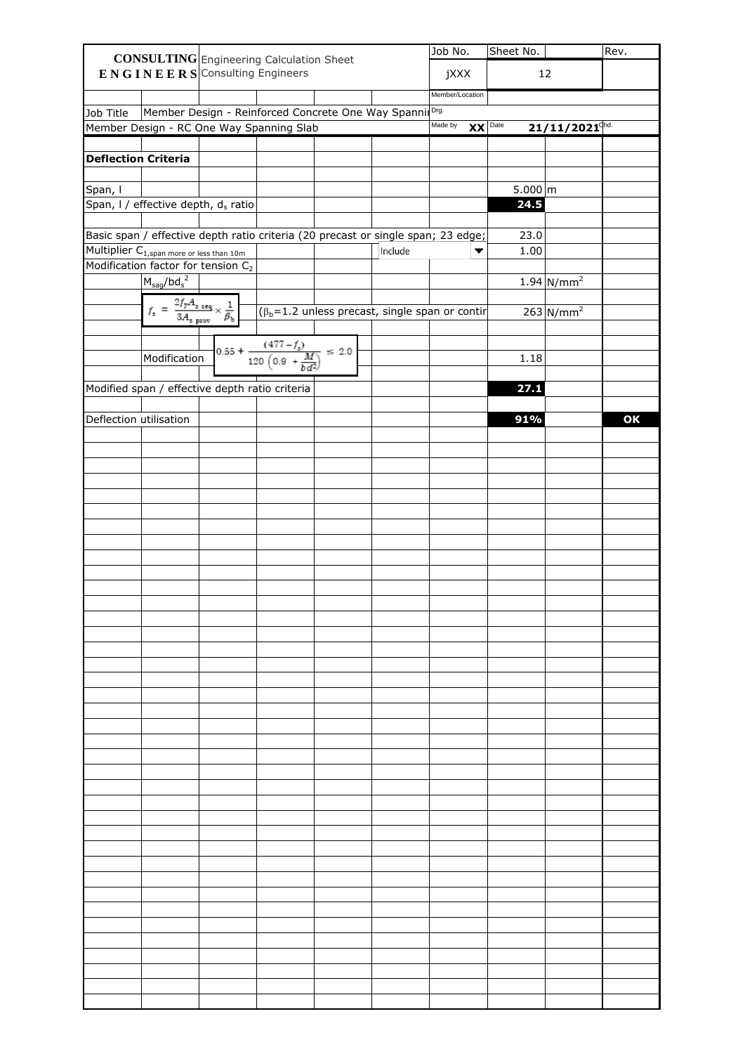|                                                       |                                                                                                                                    |                                                | <b>CONSULTING</b> Engineering Calculation Sheet                                  |         | Job No.              | Sheet No.         |                              | Rev. |
|-------------------------------------------------------|------------------------------------------------------------------------------------------------------------------------------------|------------------------------------------------|----------------------------------------------------------------------------------|---------|----------------------|-------------------|------------------------------|------|
|                                                       |                                                                                                                                    | $E N G I N E E R S$ Consulting Engineers       |                                                                                  |         | jXXX                 |                   | 12                           |      |
|                                                       |                                                                                                                                    |                                                |                                                                                  |         | Member/Location      |                   |                              |      |
| Job Title                                             |                                                                                                                                    |                                                | Member Design - Reinforced Concrete One Way Spanni                               |         |                      |                   |                              |      |
|                                                       |                                                                                                                                    |                                                | Member Design - RC One Way Spanning Slab                                         |         | Made by<br>$XX$ Date |                   | $21/11/2021$ <sup>Chd.</sup> |      |
|                                                       |                                                                                                                                    |                                                |                                                                                  |         |                      |                   |                              |      |
| <b>Deflection Criteria</b>                            |                                                                                                                                    |                                                |                                                                                  |         |                      |                   |                              |      |
|                                                       |                                                                                                                                    |                                                |                                                                                  |         |                      |                   |                              |      |
| Span, I                                               |                                                                                                                                    |                                                |                                                                                  |         |                      | $5.000 \, \rm{m}$ |                              |      |
|                                                       | Span, I / effective depth, ds ratio                                                                                                |                                                |                                                                                  |         |                      | 24.5              |                              |      |
|                                                       |                                                                                                                                    |                                                | Basic span / effective depth ratio criteria (20 precast or single span; 23 edge; |         |                      | 23.0              |                              |      |
| Multiplier C <sub>1, span more or less than 10m</sub> |                                                                                                                                    |                                                |                                                                                  | Include |                      | 1.00              |                              |      |
|                                                       | Modification factor for tension C <sub>2</sub>                                                                                     |                                                |                                                                                  |         |                      |                   |                              |      |
|                                                       | $M_{\text{sag}} / \text{bd}_{\text{s}}^2$                                                                                          |                                                |                                                                                  |         |                      |                   | $1.94 \text{ N/mm}^2$        |      |
|                                                       |                                                                                                                                    |                                                |                                                                                  |         |                      |                   |                              |      |
|                                                       | $f_{z} \; = \; \frac{2 f_{\rm y} A_{z\ {\rm reg}}}{3 A_{z\ {\rm grow}}} \times \frac{1}{\beta_{\rm b}} \; \overline{\hspace{2cm}}$ |                                                | $( \beta_b = 1.2 \text{ unless precast, single span or contr})$                  |         |                      |                   | $263 \text{N/mm}^2$          |      |
|                                                       |                                                                                                                                    |                                                |                                                                                  |         |                      |                   |                              |      |
|                                                       | Modification                                                                                                                       |                                                | $0.55 + \frac{(477 - f_s)}{120 \left(0.9 + \frac{M}{h d^2}\right)} \leq 2.0$     |         |                      | 1.18              |                              |      |
|                                                       |                                                                                                                                    |                                                |                                                                                  |         |                      |                   |                              |      |
|                                                       |                                                                                                                                    | Modified span / effective depth ratio criteria |                                                                                  |         |                      | 27.1              |                              |      |
| Deflection utilisation                                |                                                                                                                                    |                                                |                                                                                  |         |                      | 91%               |                              | OK   |
|                                                       |                                                                                                                                    |                                                |                                                                                  |         |                      |                   |                              |      |
|                                                       |                                                                                                                                    |                                                |                                                                                  |         |                      |                   |                              |      |
|                                                       |                                                                                                                                    |                                                |                                                                                  |         |                      |                   |                              |      |
|                                                       |                                                                                                                                    |                                                |                                                                                  |         |                      |                   |                              |      |
|                                                       |                                                                                                                                    |                                                |                                                                                  |         |                      |                   |                              |      |
|                                                       |                                                                                                                                    |                                                |                                                                                  |         |                      |                   |                              |      |
|                                                       |                                                                                                                                    |                                                |                                                                                  |         |                      |                   |                              |      |
|                                                       |                                                                                                                                    |                                                |                                                                                  |         |                      |                   |                              |      |
|                                                       |                                                                                                                                    |                                                |                                                                                  |         |                      |                   |                              |      |
|                                                       |                                                                                                                                    |                                                |                                                                                  |         |                      |                   |                              |      |
|                                                       |                                                                                                                                    |                                                |                                                                                  |         |                      |                   |                              |      |
|                                                       |                                                                                                                                    |                                                |                                                                                  |         |                      |                   |                              |      |
|                                                       |                                                                                                                                    |                                                |                                                                                  |         |                      |                   |                              |      |
|                                                       |                                                                                                                                    |                                                |                                                                                  |         |                      |                   |                              |      |
|                                                       |                                                                                                                                    |                                                |                                                                                  |         |                      |                   |                              |      |
|                                                       |                                                                                                                                    |                                                |                                                                                  |         |                      |                   |                              |      |
|                                                       |                                                                                                                                    |                                                |                                                                                  |         |                      |                   |                              |      |
|                                                       |                                                                                                                                    |                                                |                                                                                  |         |                      |                   |                              |      |
|                                                       |                                                                                                                                    |                                                |                                                                                  |         |                      |                   |                              |      |
|                                                       |                                                                                                                                    |                                                |                                                                                  |         |                      |                   |                              |      |
|                                                       |                                                                                                                                    |                                                |                                                                                  |         |                      |                   |                              |      |
|                                                       |                                                                                                                                    |                                                |                                                                                  |         |                      |                   |                              |      |
|                                                       |                                                                                                                                    |                                                |                                                                                  |         |                      |                   |                              |      |
|                                                       |                                                                                                                                    |                                                |                                                                                  |         |                      |                   |                              |      |
|                                                       |                                                                                                                                    |                                                |                                                                                  |         |                      |                   |                              |      |
|                                                       |                                                                                                                                    |                                                |                                                                                  |         |                      |                   |                              |      |
|                                                       |                                                                                                                                    |                                                |                                                                                  |         |                      |                   |                              |      |
|                                                       |                                                                                                                                    |                                                |                                                                                  |         |                      |                   |                              |      |
|                                                       |                                                                                                                                    |                                                |                                                                                  |         |                      |                   |                              |      |
|                                                       |                                                                                                                                    |                                                |                                                                                  |         |                      |                   |                              |      |
|                                                       |                                                                                                                                    |                                                |                                                                                  |         |                      |                   |                              |      |
|                                                       |                                                                                                                                    |                                                |                                                                                  |         |                      |                   |                              |      |
|                                                       |                                                                                                                                    |                                                |                                                                                  |         |                      |                   |                              |      |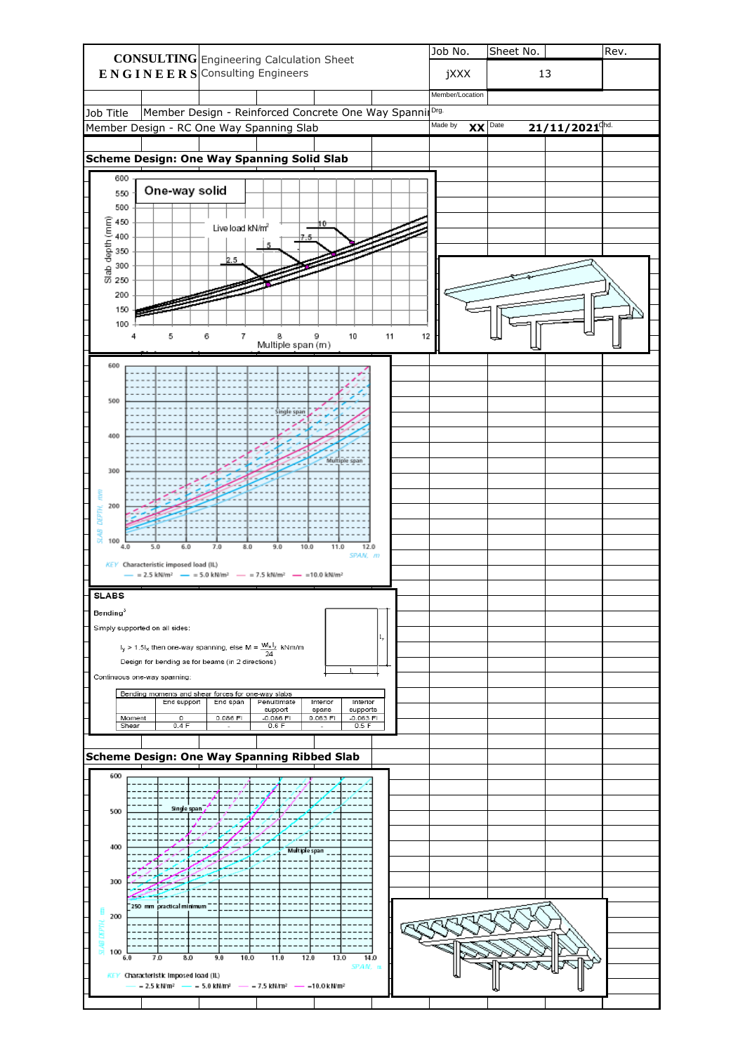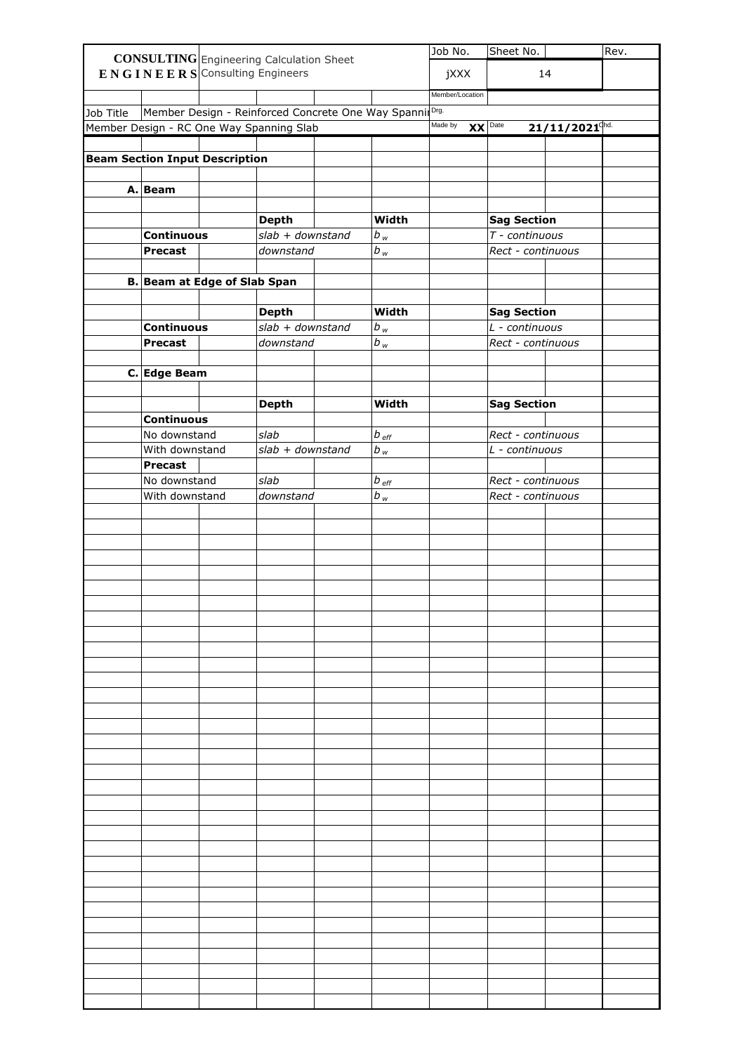|           |                                     |                                          | <b>CONSULTING</b> Engineering Calculation Sheet          |                  | Job No.              | Sheet No.                           |                              | Rev. |
|-----------|-------------------------------------|------------------------------------------|----------------------------------------------------------|------------------|----------------------|-------------------------------------|------------------------------|------|
|           |                                     | $E N G I N E E R S$ Consulting Engineers |                                                          |                  | jXXX                 |                                     | 14                           |      |
|           |                                     |                                          |                                                          |                  |                      |                                     |                              |      |
|           |                                     |                                          |                                                          |                  | Member/Location      |                                     |                              |      |
| Job Title |                                     |                                          | Member Design - Reinforced Concrete One Way Spannil Drg. |                  |                      |                                     |                              |      |
|           |                                     |                                          | Member Design - RC One Way Spanning Slab                 |                  | Made by<br>$XX$ Date |                                     | $21/11/2021$ <sup>Chd.</sup> |      |
|           |                                     | <b>Beam Section Input Description</b>    |                                                          |                  |                      |                                     |                              |      |
|           |                                     |                                          |                                                          |                  |                      |                                     |                              |      |
|           | A. Beam                             |                                          |                                                          |                  |                      |                                     |                              |      |
|           |                                     |                                          |                                                          |                  |                      |                                     |                              |      |
|           |                                     |                                          | <b>Depth</b>                                             | Width            |                      | <b>Sag Section</b>                  |                              |      |
|           | <b>Continuous</b>                   |                                          | $slab + downstream$                                      | $b_w$            |                      | T - continuous                      |                              |      |
|           | <b>Precast</b>                      |                                          | downstand                                                | $b_w$            |                      | Rect - continuous                   |                              |      |
|           |                                     |                                          |                                                          |                  |                      |                                     |                              |      |
|           |                                     | <b>B. Beam at Edge of Slab Span</b>      |                                                          |                  |                      |                                     |                              |      |
|           |                                     |                                          |                                                          |                  |                      |                                     |                              |      |
|           |                                     |                                          | <b>Depth</b><br>$slab + downstream$                      | Width            |                      | <b>Sag Section</b>                  |                              |      |
|           | <b>Continuous</b><br><b>Precast</b> |                                          | downstand                                                | $b_w$<br>$b_w$   |                      | L - continuous<br>Rect - continuous |                              |      |
|           |                                     |                                          |                                                          |                  |                      |                                     |                              |      |
|           | C. Edge Beam                        |                                          |                                                          |                  |                      |                                     |                              |      |
|           |                                     |                                          |                                                          |                  |                      |                                     |                              |      |
|           |                                     |                                          | <b>Depth</b>                                             | Width            |                      | <b>Sag Section</b>                  |                              |      |
|           | <b>Continuous</b>                   |                                          |                                                          |                  |                      |                                     |                              |      |
|           | No downstand                        |                                          | slab                                                     | $b_{\text{eff}}$ |                      | Rect - continuous                   |                              |      |
|           | With downstand<br><b>Precast</b>    |                                          | $slab + downstream$                                      | $b_w$            |                      | L - continuous                      |                              |      |
|           | No downstand                        |                                          | slab                                                     | $b_{\text{eff}}$ |                      | Rect - continuous                   |                              |      |
|           | With downstand                      |                                          | downstand                                                | $b_w$            |                      | Rect - continuous                   |                              |      |
|           |                                     |                                          |                                                          |                  |                      |                                     |                              |      |
|           |                                     |                                          |                                                          |                  |                      |                                     |                              |      |
|           |                                     |                                          |                                                          |                  |                      |                                     |                              |      |
|           |                                     |                                          |                                                          |                  |                      |                                     |                              |      |
|           |                                     |                                          |                                                          |                  |                      |                                     |                              |      |
|           |                                     |                                          |                                                          |                  |                      |                                     |                              |      |
|           |                                     |                                          |                                                          |                  |                      |                                     |                              |      |
|           |                                     |                                          |                                                          |                  |                      |                                     |                              |      |
|           |                                     |                                          |                                                          |                  |                      |                                     |                              |      |
|           |                                     |                                          |                                                          |                  |                      |                                     |                              |      |
|           |                                     |                                          |                                                          |                  |                      |                                     |                              |      |
|           |                                     |                                          |                                                          |                  |                      |                                     |                              |      |
|           |                                     |                                          |                                                          |                  |                      |                                     |                              |      |
|           |                                     |                                          |                                                          |                  |                      |                                     |                              |      |
|           |                                     |                                          |                                                          |                  |                      |                                     |                              |      |
|           |                                     |                                          |                                                          |                  |                      |                                     |                              |      |
|           |                                     |                                          |                                                          |                  |                      |                                     |                              |      |
|           |                                     |                                          |                                                          |                  |                      |                                     |                              |      |
|           |                                     |                                          |                                                          |                  |                      |                                     |                              |      |
|           |                                     |                                          |                                                          |                  |                      |                                     |                              |      |
|           |                                     |                                          |                                                          |                  |                      |                                     |                              |      |
|           |                                     |                                          |                                                          |                  |                      |                                     |                              |      |
|           |                                     |                                          |                                                          |                  |                      |                                     |                              |      |
|           |                                     |                                          |                                                          |                  |                      |                                     |                              |      |
|           |                                     |                                          |                                                          |                  |                      |                                     |                              |      |
|           |                                     |                                          |                                                          |                  |                      |                                     |                              |      |
|           |                                     |                                          |                                                          |                  |                      |                                     |                              |      |
|           |                                     |                                          |                                                          |                  |                      |                                     |                              |      |
|           |                                     |                                          |                                                          |                  |                      |                                     |                              |      |
|           |                                     |                                          |                                                          |                  |                      |                                     |                              |      |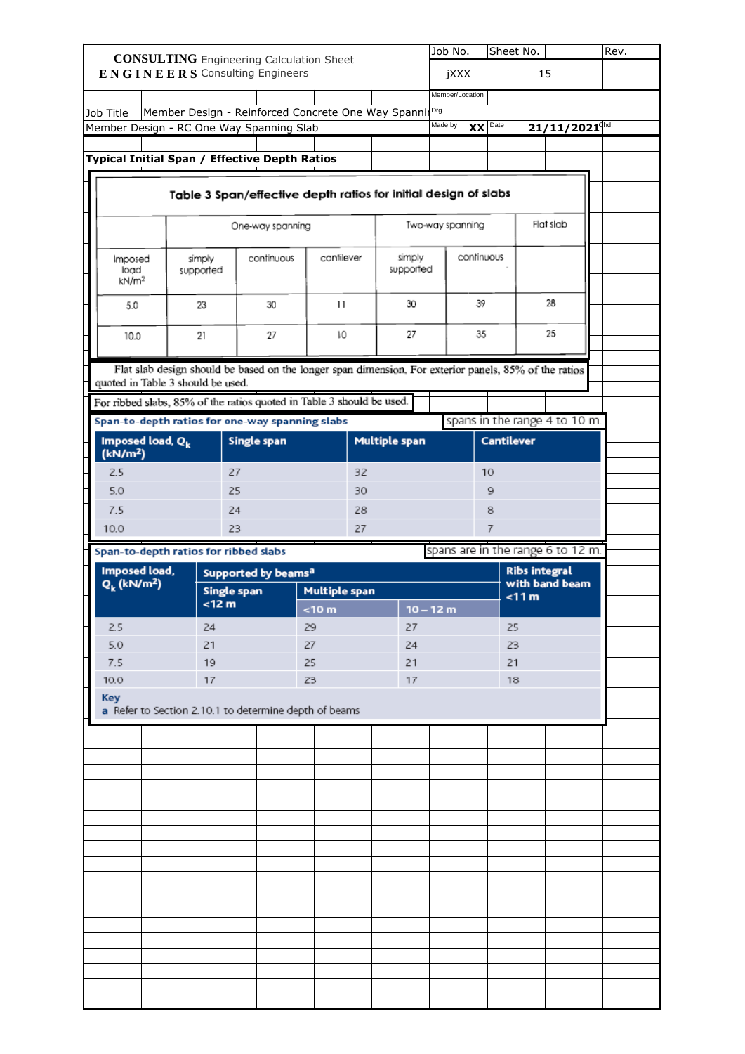|                                                                                   |  |  |                              |    |                                               |                                                                       |    |                                                                                                       |         | Job No.                           | Sheet No.         |                                        |                              |  | Rev. |  |
|-----------------------------------------------------------------------------------|--|--|------------------------------|----|-----------------------------------------------|-----------------------------------------------------------------------|----|-------------------------------------------------------------------------------------------------------|---------|-----------------------------------|-------------------|----------------------------------------|------------------------------|--|------|--|
| <b>CONSULTING</b> Engineering Calculation Sheet<br>ENGINEERS Consulting Engineers |  |  |                              |    |                                               |                                                                       |    |                                                                                                       | jXXX    |                                   | 15                |                                        |                              |  |      |  |
|                                                                                   |  |  |                              |    |                                               |                                                                       |    |                                                                                                       |         | Member/Location                   |                   |                                        |                              |  |      |  |
| Job Title                                                                         |  |  |                              |    |                                               |                                                                       |    | Member Design - Reinforced Concrete One Way Spannil Drg.                                              |         |                                   |                   |                                        |                              |  |      |  |
|                                                                                   |  |  |                              |    | Member Design - RC One Way Spanning Slab      |                                                                       |    |                                                                                                       | Made by | $\mathbf{X}$                      | Date              |                                        | $21/11/2021$ <sup>chd.</sup> |  |      |  |
|                                                                                   |  |  |                              |    |                                               |                                                                       |    |                                                                                                       |         |                                   |                   |                                        |                              |  |      |  |
|                                                                                   |  |  |                              |    | Typical Initial Span / Effective Depth Ratios |                                                                       |    |                                                                                                       |         |                                   |                   |                                        |                              |  |      |  |
|                                                                                   |  |  |                              |    |                                               |                                                                       |    |                                                                                                       |         |                                   |                   |                                        |                              |  |      |  |
|                                                                                   |  |  |                              |    |                                               |                                                                       |    | Table 3 Span/effective depth ratios for initial design of slabs                                       |         |                                   |                   |                                        |                              |  |      |  |
|                                                                                   |  |  |                              |    |                                               |                                                                       |    |                                                                                                       |         |                                   |                   |                                        |                              |  |      |  |
|                                                                                   |  |  |                              |    | One-way spanning                              |                                                                       |    |                                                                                                       |         | Two-way spanning                  |                   |                                        | Flat slab                    |  |      |  |
|                                                                                   |  |  |                              |    |                                               |                                                                       |    |                                                                                                       |         |                                   |                   |                                        |                              |  |      |  |
| Imposed<br>load                                                                   |  |  | simply<br>supported          |    | continuous                                    | cantilever                                                            |    | simply<br>supported                                                                                   |         | continuous                        |                   |                                        |                              |  |      |  |
| kN/m <sup>2</sup>                                                                 |  |  |                              |    |                                               |                                                                       |    |                                                                                                       |         |                                   |                   |                                        |                              |  |      |  |
| 5.0                                                                               |  |  | 23                           |    | 30                                            | $\mathbf{1}$                                                          |    | 30                                                                                                    |         | 39                                |                   |                                        | 28                           |  |      |  |
|                                                                                   |  |  |                              |    |                                               |                                                                       |    |                                                                                                       |         |                                   |                   |                                        |                              |  |      |  |
| 10.0                                                                              |  |  | 21                           |    | 27                                            | 10                                                                    |    | 27                                                                                                    |         | 35                                |                   |                                        | 25                           |  |      |  |
|                                                                                   |  |  |                              |    |                                               |                                                                       |    |                                                                                                       |         |                                   |                   |                                        |                              |  |      |  |
|                                                                                   |  |  |                              |    |                                               |                                                                       |    | Flat slab design should be based on the longer span dimension. For exterior panels, 85% of the ratios |         |                                   |                   |                                        |                              |  |      |  |
| quoted in Table 3 should be used.                                                 |  |  |                              |    |                                               |                                                                       |    |                                                                                                       |         |                                   |                   |                                        |                              |  |      |  |
|                                                                                   |  |  |                              |    |                                               | For ribbed slabs, 85% of the ratios quoted in Table 3 should be used. |    |                                                                                                       |         |                                   |                   |                                        |                              |  |      |  |
|                                                                                   |  |  |                              |    |                                               | Span-to-depth ratios for one-way spanning slabs                       |    |                                                                                                       |         | spans in the range 4 to 10 m.     |                   |                                        |                              |  |      |  |
| Imposed load, Q <sub>k</sub>                                                      |  |  |                              |    | Single span                                   |                                                                       |    | <b>Multiple span</b>                                                                                  |         |                                   | <b>Cantilever</b> |                                        |                              |  |      |  |
| (kN/m <sup>2</sup> )                                                              |  |  |                              |    |                                               |                                                                       |    |                                                                                                       |         |                                   |                   |                                        |                              |  |      |  |
| 2.5                                                                               |  |  |                              | 27 |                                               |                                                                       | 32 |                                                                                                       |         |                                   | 10                |                                        |                              |  |      |  |
| 5.0                                                                               |  |  |                              | 25 |                                               |                                                                       | 30 |                                                                                                       |         |                                   | 9                 |                                        |                              |  |      |  |
| 7.5                                                                               |  |  |                              | 24 |                                               |                                                                       | 28 |                                                                                                       |         |                                   | 8                 |                                        |                              |  |      |  |
|                                                                                   |  |  |                              |    |                                               |                                                                       |    |                                                                                                       |         |                                   |                   |                                        |                              |  |      |  |
| 10.0                                                                              |  |  |                              | 23 |                                               |                                                                       | 27 |                                                                                                       |         |                                   | 7                 |                                        |                              |  |      |  |
|                                                                                   |  |  |                              |    |                                               |                                                                       |    |                                                                                                       |         |                                   |                   |                                        |                              |  |      |  |
| Span-to-depth ratios for ribbed slabs                                             |  |  |                              |    |                                               |                                                                       |    |                                                                                                       |         | spans are in the range 6 to 12 m. |                   |                                        |                              |  |      |  |
| Imposed load,<br>$Q_k$ (kN/m <sup>2</sup> )                                       |  |  |                              |    | Supported by beams <sup>a</sup>               |                                                                       |    |                                                                                                       |         |                                   |                   | <b>Ribs integral</b><br>with band beam |                              |  |      |  |
|                                                                                   |  |  | <b>Single span</b><br>< 12 m |    |                                               | <b>Multiple span</b>                                                  |    |                                                                                                       |         |                                   |                   | < 11 m                                 |                              |  |      |  |
|                                                                                   |  |  |                              |    |                                               | < 10 m                                                                |    | $10 - 12 m$                                                                                           |         |                                   |                   |                                        |                              |  |      |  |
| 2.5                                                                               |  |  | 24                           |    |                                               | 29                                                                    |    | 27                                                                                                    |         |                                   | 25                |                                        |                              |  |      |  |
| 5.0                                                                               |  |  | 21                           |    |                                               | 27                                                                    |    | 24                                                                                                    |         |                                   | 23                |                                        |                              |  |      |  |
| 7.5                                                                               |  |  | 19                           |    |                                               | 25                                                                    |    | 21                                                                                                    |         |                                   | 21                |                                        |                              |  |      |  |
| 10.0                                                                              |  |  | 17                           |    |                                               | 23                                                                    |    | 17                                                                                                    |         |                                   | 18                |                                        |                              |  |      |  |
| <b>Key</b>                                                                        |  |  |                              |    |                                               | a Refer to Section 2.10.1 to determine depth of beams                 |    |                                                                                                       |         |                                   |                   |                                        |                              |  |      |  |
|                                                                                   |  |  |                              |    |                                               |                                                                       |    |                                                                                                       |         |                                   |                   |                                        |                              |  |      |  |
|                                                                                   |  |  |                              |    |                                               |                                                                       |    |                                                                                                       |         |                                   |                   |                                        |                              |  |      |  |
|                                                                                   |  |  |                              |    |                                               |                                                                       |    |                                                                                                       |         |                                   |                   |                                        |                              |  |      |  |
|                                                                                   |  |  |                              |    |                                               |                                                                       |    |                                                                                                       |         |                                   |                   |                                        |                              |  |      |  |
|                                                                                   |  |  |                              |    |                                               |                                                                       |    |                                                                                                       |         |                                   |                   |                                        |                              |  |      |  |
|                                                                                   |  |  |                              |    |                                               |                                                                       |    |                                                                                                       |         |                                   |                   |                                        |                              |  |      |  |
|                                                                                   |  |  |                              |    |                                               |                                                                       |    |                                                                                                       |         |                                   |                   |                                        |                              |  |      |  |
|                                                                                   |  |  |                              |    |                                               |                                                                       |    |                                                                                                       |         |                                   |                   |                                        |                              |  |      |  |
|                                                                                   |  |  |                              |    |                                               |                                                                       |    |                                                                                                       |         |                                   |                   |                                        |                              |  |      |  |
|                                                                                   |  |  |                              |    |                                               |                                                                       |    |                                                                                                       |         |                                   |                   |                                        |                              |  |      |  |
|                                                                                   |  |  |                              |    |                                               |                                                                       |    |                                                                                                       |         |                                   |                   |                                        |                              |  |      |  |
|                                                                                   |  |  |                              |    |                                               |                                                                       |    |                                                                                                       |         |                                   |                   |                                        |                              |  |      |  |
|                                                                                   |  |  |                              |    |                                               |                                                                       |    |                                                                                                       |         |                                   |                   |                                        |                              |  |      |  |
|                                                                                   |  |  |                              |    |                                               |                                                                       |    |                                                                                                       |         |                                   |                   |                                        |                              |  |      |  |
|                                                                                   |  |  |                              |    |                                               |                                                                       |    |                                                                                                       |         |                                   |                   |                                        |                              |  |      |  |
|                                                                                   |  |  |                              |    |                                               |                                                                       |    |                                                                                                       |         |                                   |                   |                                        |                              |  |      |  |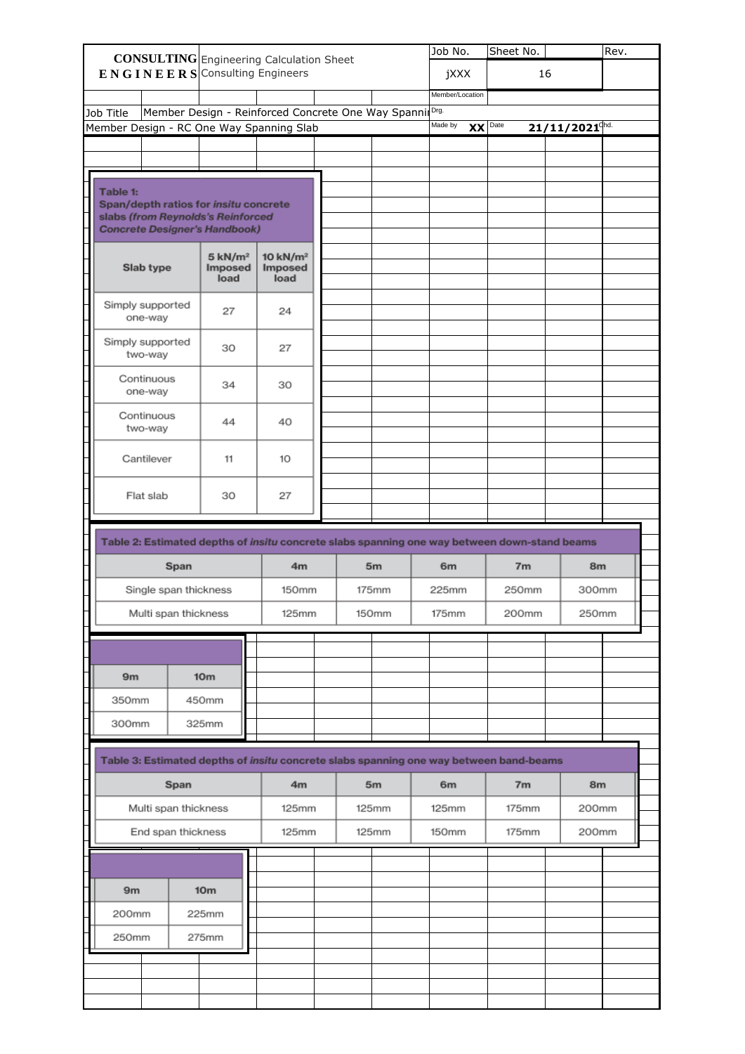|                                                                                              |      |                                        | <b>CONSULTING</b> Engineering Calculation Sheet          | Job No.        | Sheet No.       |                | Rev.  |                              |  |
|----------------------------------------------------------------------------------------------|------|----------------------------------------|----------------------------------------------------------|----------------|-----------------|----------------|-------|------------------------------|--|
| ENGINEERS Consulting Engineers                                                               |      |                                        |                                                          |                | jXXX            |                | 16    |                              |  |
|                                                                                              |      |                                        |                                                          |                | Member/Location |                |       |                              |  |
| Job Title                                                                                    |      |                                        | Member Design - Reinforced Concrete One Way Spannil Drg. |                |                 |                |       |                              |  |
| Member Design - RC One Way Spanning Slab                                                     |      |                                        |                                                          |                | Made by         | $XX$ Date      |       | $21/11/2021$ <sup>chd.</sup> |  |
|                                                                                              |      |                                        |                                                          |                |                 |                |       |                              |  |
|                                                                                              |      |                                        |                                                          |                |                 |                |       |                              |  |
| Table 1:                                                                                     |      |                                        |                                                          |                |                 |                |       |                              |  |
| Span/depth ratios for insitu concrete                                                        |      |                                        |                                                          |                |                 |                |       |                              |  |
| slabs (from Reynolds's Reinforced<br><b>Concrete Designer's Handbook)</b>                    |      |                                        |                                                          |                |                 |                |       |                              |  |
|                                                                                              |      |                                        |                                                          |                |                 |                |       |                              |  |
| Slab type                                                                                    |      | 5 kN/m <sup>2</sup><br>Imposed<br>load | 10 kN/m <sup>2</sup><br>Imposed<br>load                  |                |                 |                |       |                              |  |
| Simply supported<br>one-way                                                                  |      | 27                                     | 24                                                       |                |                 |                |       |                              |  |
| Simply supported<br>two-way                                                                  |      | 30                                     | 27                                                       |                |                 |                |       |                              |  |
| Continuous<br>one-way                                                                        |      | 34                                     | 30                                                       |                |                 |                |       |                              |  |
| Continuous<br>two-way                                                                        |      | 44                                     | 40                                                       |                |                 |                |       |                              |  |
| Cantilever                                                                                   |      | 11                                     | 10                                                       |                |                 |                |       |                              |  |
| Flat slab                                                                                    |      | 30                                     | 27                                                       |                |                 |                |       |                              |  |
| Table 2: Estimated depths of insitu concrete slabs spanning one way between down-stand beams |      |                                        |                                                          |                |                 |                |       |                              |  |
|                                                                                              | Span |                                        | 4 <sub>m</sub>                                           | 5 <sub>m</sub> | 6 <sub>m</sub>  | 7 <sub>m</sub> |       | 8m                           |  |
| Single span thickness                                                                        |      |                                        | 150mm                                                    | 175mm          | 225mm           | 250mm          |       | 300mm                        |  |
| Multi span thickness                                                                         |      |                                        | 125mm                                                    | 150mm          |                 | 175mm<br>200mm |       | 250mm                        |  |
|                                                                                              |      |                                        |                                                          |                |                 |                |       |                              |  |
|                                                                                              |      |                                        |                                                          |                |                 |                |       |                              |  |
|                                                                                              |      |                                        |                                                          |                |                 |                |       |                              |  |
| 9m                                                                                           |      | 10 <sub>m</sub>                        |                                                          |                |                 |                |       |                              |  |
| 350mm                                                                                        |      | 450mm                                  |                                                          |                |                 |                |       |                              |  |
| 300mm                                                                                        |      | 325mm                                  |                                                          |                |                 |                |       |                              |  |
| Table 3: Estimated depths of insitu concrete slabs spanning one way between band-beams       |      |                                        |                                                          |                |                 |                |       |                              |  |
| Span                                                                                         |      | 4m                                     | 5 <sub>m</sub>                                           | 6 <sub>m</sub> | 7 <sub>m</sub>  |                | 8m    |                              |  |
| Multi span thickness                                                                         |      |                                        | 125mm                                                    | 125mm          | 125mm           | 175mm          |       | 200mm                        |  |
| End span thickness                                                                           |      | 125mm                                  | 125mm                                                    | 150mm          | 175mm           |                | 200mm |                              |  |
|                                                                                              |      |                                        |                                                          |                |                 |                |       |                              |  |
| 9m                                                                                           |      | 10 <sub>m</sub>                        |                                                          |                |                 |                |       |                              |  |
|                                                                                              |      |                                        |                                                          |                |                 |                |       |                              |  |
|                                                                                              |      | 225mm                                  |                                                          |                |                 |                |       |                              |  |
| 200mm                                                                                        |      |                                        |                                                          |                |                 |                |       |                              |  |
| 250mm                                                                                        |      | 275mm                                  |                                                          |                |                 |                |       |                              |  |
|                                                                                              |      |                                        |                                                          |                |                 |                |       |                              |  |
|                                                                                              |      |                                        |                                                          |                |                 |                |       |                              |  |